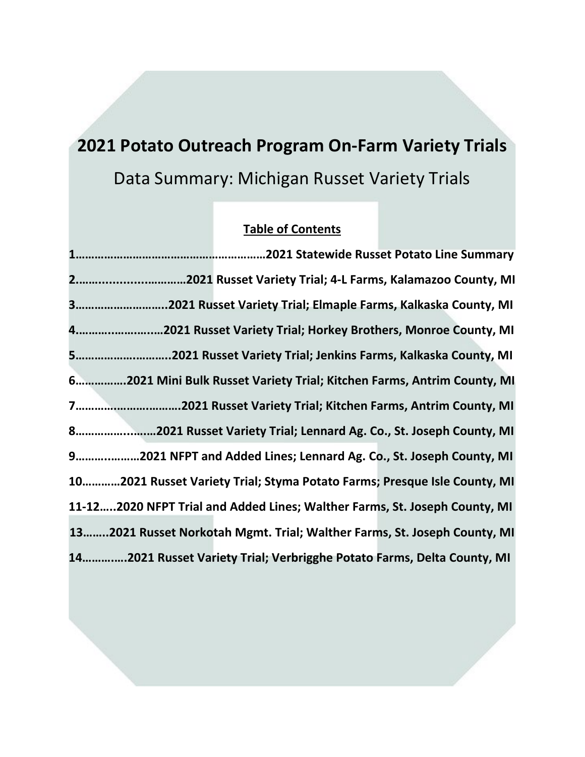# **2021 Potato Outreach Program On-Farm Variety Trials** Data Summary: Michigan Russet Variety Trials

# **Table of Contents**

| 22021 Russet Variety Trial; 4-L Farms, Kalamazoo County, MI                |  |
|----------------------------------------------------------------------------|--|
| 32021 Russet Variety Trial; Elmaple Farms, Kalkaska County, MI             |  |
| 42021 Russet Variety Trial; Horkey Brothers, Monroe County, MI             |  |
| 52021 Russet Variety Trial; Jenkins Farms, Kalkaska County, MI             |  |
| 62021 Mini Bulk Russet Variety Trial; Kitchen Farms, Antrim County, MI     |  |
| 72021 Russet Variety Trial; Kitchen Farms, Antrim County, MI               |  |
| 82021 Russet Variety Trial; Lennard Ag. Co., St. Joseph County, MI         |  |
| 92021 NFPT and Added Lines; Lennard Ag. Co., St. Joseph County, MI         |  |
| 102021 Russet Variety Trial; Styma Potato Farms; Presque Isle County, MI   |  |
| 11-122020 NFPT Trial and Added Lines; Walther Farms, St. Joseph County, MI |  |
| 132021 Russet Norkotah Mgmt. Trial; Walther Farms, St. Joseph County, MI   |  |
| 142021 Russet Variety Trial; Verbrigghe Potato Farms, Delta County, MI     |  |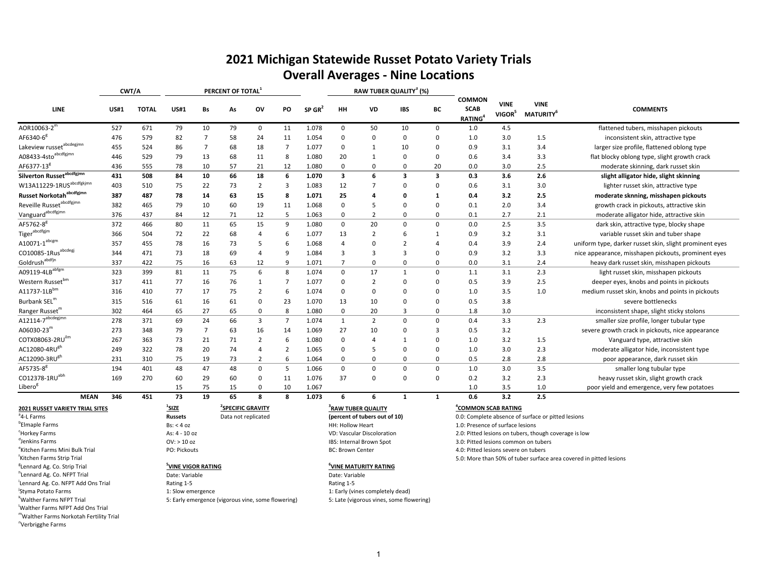# **2021 Michigan Statewide Russet Potato Variety Trials Overall Averages ‐ Nine Locations**

|                                                                                                                                       |             | CWT/A        |                                                                     |    | PERCENT OF TOTAL <sup>1</sup>                        |                |                |                      |                         | RAW TUBER QUALITY <sup>3</sup> (%)                                                            |                |             |                                                                |                                   |                                                                                                             |                                                         |
|---------------------------------------------------------------------------------------------------------------------------------------|-------------|--------------|---------------------------------------------------------------------|----|------------------------------------------------------|----------------|----------------|----------------------|-------------------------|-----------------------------------------------------------------------------------------------|----------------|-------------|----------------------------------------------------------------|-----------------------------------|-------------------------------------------------------------------------------------------------------------|---------------------------------------------------------|
| <b>LINE</b>                                                                                                                           | <b>US#1</b> | <b>TOTAL</b> | <b>US#1</b>                                                         | Bs | As                                                   | ov             | PO             | $SP$ GR <sup>2</sup> | HH                      | <b>VD</b>                                                                                     | <b>IBS</b>     | ВC          | COMMON<br><b>SCAB</b><br><b>RATING</b>                         | <b>VINE</b><br>VIGOR <sup>5</sup> | <b>VINE</b><br>MATURITY <sup>6</sup>                                                                        | <b>COMMENTS</b>                                         |
| $\mathsf{AOR10063\text{-}2}^{\mathsf{m}}$                                                                                             | 527         | 671          | 79                                                                  | 10 | 79                                                   | 0              | 11             | 1.078                | $\mathbf 0$             | 50                                                                                            | 10             | 0           | 1.0                                                            | 4.5                               |                                                                                                             | flattened tubers, misshapen pickouts                    |
| AF6340-6 <sup>g</sup>                                                                                                                 | 476         | 579          | 82                                                                  | 7  | 58                                                   | 24             | 11             | 1.054                | $\mathbf 0$             | 0                                                                                             | $\mathbf 0$    | 0           | 1.0                                                            | 3.0                               | 1.5                                                                                                         | inconsistent skin, attractive type                      |
| Lakeview russet <sup>abcdegjmn</sup>                                                                                                  | 455         | 524          | 86                                                                  | 7  | 68                                                   | 18             | 7              | 1.077                | $\mathbf 0$             | 1                                                                                             | 10             | $\Omega$    | 0.9                                                            | 3.1                               | 3.4                                                                                                         | larger size profile, flattened oblong type              |
| A08433-4sto <sup>abcdfgjmn</sup>                                                                                                      | 446         | 529          | 79                                                                  | 13 | 68                                                   | 11             | 8              | 1.080                | 20                      | 1                                                                                             | 0              | $\Omega$    | 0.6                                                            | 3.4                               | 3.3                                                                                                         | flat blocky oblong type, slight growth crack            |
| AF6377-13 <sup>g</sup>                                                                                                                | 436         | 555          | 78                                                                  | 10 | 57                                                   | 21             | 12             | 1.080                | $\mathbf 0$             | 0                                                                                             | $\mathbf 0$    | 20          | 0.0                                                            | 3.0                               | 2.5                                                                                                         | moderate skinning, dark russet skin                     |
| Silverton Russet <sup>abcdfgjmn</sup>                                                                                                 | 431         | 508          | 84                                                                  | 10 | 66                                                   | 18             | 6              | 1.070                | 3                       | 6                                                                                             | 3              | 3           | 0.3                                                            | 3.6                               | 2.6                                                                                                         | slight alligator hide, slight skinning                  |
| W13A11229-1RUS <sup>abcdfgkjmn</sup>                                                                                                  | 403         | 510          | 75                                                                  | 22 | 73                                                   | 2              | 3              | 1.083                | 12                      |                                                                                               | 0              | $\Omega$    | 0.6                                                            | 3.1                               | 3.0                                                                                                         | lighter russet skin, attractive type                    |
| Russet Norkotah <sup>abcdfgjmn</sup>                                                                                                  | 387         | 487          | 78                                                                  | 14 | 63                                                   | 15             | 8              | 1.071                | 25                      | 4                                                                                             | $\mathbf 0$    | 1           | 0.4                                                            | 3.2                               | 2.5                                                                                                         | moderate sknning, misshapen pickouts                    |
| Reveille Russet <sup>abcdfgjmn</sup>                                                                                                  | 382         | 465          | 79                                                                  | 10 | 60                                                   | 19             | 11             | 1.068                | $\mathbf 0$             | 5                                                                                             | $\Omega$       | $\Omega$    | 0.1                                                            | 2.0                               | 3.4                                                                                                         | growth crack in pickouts, attractive skin               |
| Vanguard <sup>abcdfgjmn</sup>                                                                                                         | 376         | 437          | 84                                                                  | 12 | 71                                                   | 12             | -5             | 1.063                | $\mathbf 0$             | $\overline{2}$                                                                                | $\mathbf 0$    | $\Omega$    | 0.1                                                            | 2.7                               | 2.1                                                                                                         | moderate alligator hide, attractive skin                |
| AF5762-8 <sup>g</sup>                                                                                                                 | 372         | 466          | 80                                                                  | 11 | 65                                                   | 15             | 9              | 1.080                | $\mathbf 0$             | 20                                                                                            | $\mathbf 0$    | $\Omega$    | 0.0                                                            | 2.5                               | 3.5                                                                                                         | dark skin, attractive type, blocky shape                |
| Tiger <sup>abcdfgjm</sup>                                                                                                             | 366         | 504          | 72                                                                  | 22 | 68                                                   | 4              | 6              | 1.077                | 13                      | $\overline{2}$                                                                                | 6              | 1           | 0.9                                                            | 3.2                               | 3.1                                                                                                         | variable russet skin and tuber shape                    |
| $A10071 - 1^{abcgm}$                                                                                                                  | 357         | 455          | 78                                                                  | 16 | 73                                                   | 5              | 6              | 1.068                | $\overline{4}$          | 0                                                                                             | $\overline{2}$ | 4           | 0.4                                                            | 3.9                               | 2.4                                                                                                         | uniform type, darker russet skin, slight prominent eyes |
| CO10085-1Rus <sup>abcdegj</sup>                                                                                                       | 344         | 471          | 73                                                                  | 18 | 69                                                   | 4              | q              | 1.084                | 3                       | 3                                                                                             | $\overline{3}$ | $\Omega$    | 0.9                                                            | 3.2                               | 3.3                                                                                                         | nice appearance, misshapen pickouts, prominent eyes     |
| Goldrush <sup>abdfjn</sup>                                                                                                            | 337         | 422          | 75                                                                  | 16 | 63                                                   | 12             | q              | 1.071                | 7                       | $\Omega$                                                                                      | $\mathbf 0$    | $\Omega$    | 0.0                                                            | 3.1                               | 2.4                                                                                                         | heavy dark russet skin, misshapen pickouts              |
| $A09119-4LB^{\overline{abfgm}}$                                                                                                       | 323         | 399          | 81                                                                  | 11 | 75                                                   | 6              | 8              | 1.074                | $\mathbf 0$             | 17                                                                                            | 1              | $\mathbf 0$ | 1.1                                                            | 3.1                               | 2.3                                                                                                         | light russet skin, misshapen pickouts                   |
| Western Russet <sup>bm</sup>                                                                                                          | 317         | 411          | 77                                                                  | 16 | 76                                                   | 1              |                | 1.077                | $\mathbf 0$             | $\overline{2}$                                                                                | $\Omega$       | $\Omega$    | 0.5                                                            | 3.9                               | 2.5                                                                                                         | deeper eyes, knobs and points in pickouts               |
| A11737-1LB <sup>bm</sup>                                                                                                              | 316         | 410          | 77                                                                  | 17 | 75                                                   | $\overline{2}$ | 6              | 1.074                | $\mathbf 0$             | $\Omega$                                                                                      | $\mathbf 0$    | $\Omega$    | 1.0                                                            | 3.5                               | 1.0                                                                                                         | medium russet skin, knobs and points in pickouts        |
| Burbank SEL <sup>m</sup>                                                                                                              | 315         | 516          | 61                                                                  | 16 | 61                                                   | $\Omega$       | 23             | 1.070                | 13                      | 10                                                                                            | $\Omega$       | $\Omega$    | 0.5                                                            | 3.8                               |                                                                                                             | severe bottlenecks                                      |
| Ranger Russet <sup>m</sup>                                                                                                            | 302         | 464          | 65                                                                  | 27 | 65                                                   | $\Omega$       | 8              | 1.080                | $\mathbf 0$             | 20                                                                                            | 3              | $\Omega$    | 1.8                                                            | 3.0                               |                                                                                                             | inconsistent shape, slight sticky stolons               |
| $A12114 - 7^{abcdegjmn}$                                                                                                              | 278         | 371          | 69                                                                  | 24 | 66                                                   | 3              | $\overline{7}$ | 1.074                | $\mathbf{1}$            | $\overline{2}$                                                                                | $\mathbf 0$    | $\mathbf 0$ | 0.4                                                            | 3.3                               | 2.3                                                                                                         | smaller size profile, longer tubular type               |
| A06030-23 $^{\rm m}$                                                                                                                  | 273         | 348          | 79                                                                  | 7  | 63                                                   | 16             | 14             | 1.069                | 27                      | 10                                                                                            | $\Omega$       | 3           | 0.5                                                            | 3.2                               |                                                                                                             | severe growth crack in pickouts, nice appearance        |
| COTX08063-2RUilm                                                                                                                      | 267         | 363          | 73                                                                  | 21 | 71                                                   | 2              | 6              | 1.080                | $\mathbf 0$             |                                                                                               | 1              | $\Omega$    | 1.0                                                            | 3.2                               | 1.5                                                                                                         | Vanguard type, attractive skin                          |
| AC12080-4RU <sup>gh</sup>                                                                                                             | 249         | 322          | 78                                                                  | 20 | 74                                                   | 4              | -2             | 1.065                | $\mathbf 0$             | 5                                                                                             | $\mathbf 0$    | 0           | 1.0                                                            | 3.0                               | 2.3                                                                                                         | moderate alligator hide, inconsistent type              |
| AC12090-3RU <sup>gh</sup>                                                                                                             | 231         | 310          | 75                                                                  | 19 | 73                                                   | 2              | -6             | 1.064                | $\Omega$                | $\Omega$                                                                                      | $\mathbf 0$    | $\Omega$    | 0.5                                                            | 2.8                               | 2.8                                                                                                         | poor appearance, dark russet skin                       |
| AF5735-8 <sup>g</sup>                                                                                                                 | 194         | 401          | 48                                                                  | 47 | 48                                                   | $\Omega$       | 5              | 1.066                | $\mathbf 0$             | $\Omega$                                                                                      | $\mathbf 0$    | $\mathbf 0$ | 1.0                                                            | 3.0                               | 3.5                                                                                                         | smaller long tubular type                               |
| CO12378-1RU <sup>abh</sup>                                                                                                            | 169         | 270          | 60                                                                  | 29 | 60                                                   | $\Omega$       | 11             | 1.076                | 37                      | $\Omega$                                                                                      | $\mathbf 0$    | $\Omega$    | 0.2                                                            | 3.2                               | 2.3                                                                                                         | heavy russet skin, slight growth crack                  |
| Libero <sup>g</sup>                                                                                                                   |             |              | 15                                                                  | 75 | 15                                                   | $\Omega$       | 10             | 1.067                |                         |                                                                                               |                |             | 1.0                                                            | 3.5                               | 1.0                                                                                                         | poor yield and emergence, very few potatoes             |
| <b>MEAN</b>                                                                                                                           | 346         | 451          | 73                                                                  | 19 | 65                                                   | 8              | 8              | 1.073                | -6                      | 6                                                                                             | $\mathbf{1}$   | 1           | 0.6                                                            | 3.2                               | 2.5                                                                                                         |                                                         |
| 2021 RUSSET VARIETY TRIAL SITES<br><sup>a</sup> 4-L Farms<br><sup>b</sup> Elmaple Farms<br><sup>c</sup> Horkey Farms<br>Jenkins Farms |             |              | $\frac{1}{2}$ SIZE<br><b>Russets</b><br>Bs: < 4 oz<br>As: 4 - 10 oz |    | <sup>2</sup> SPECIFIC GRAVITY<br>Data not replicated |                |                |                      | <b>HH: Hollow Heart</b> | <sup>3</sup> RAW TUBER QUALITY<br>(percent of tubers out of 10)<br>VD: Vascular Discoloration |                |             | <b>"COMMON SCAB RATING</b><br>1.0: Presence of surface lesions |                                   | 0.0: Complete absence of surface or pitted lesions<br>2.0: Pitted lesions on tubers, though coverage is low |                                                         |
|                                                                                                                                       |             |              | $OV:$ > 10 oz                                                       |    |                                                      |                |                |                      |                         | IBS: Internal Brown Spot                                                                      |                |             | 3.0: Pitted lesions common on tubers                           |                                   |                                                                                                             |                                                         |

Kitchen Farms Strip Trial

nVerbrigghe Farms

<sup>g</sup>Lennard Ag. Co. Strip Trial

lWalther Farms NFPT Add Ons Trial mWalther Farms Norkotah Fertility Trial

h<br>hLennard Ag. Co. NFPT Trial **Date: Variable Date: Variable** Date: Variable Date: Variable Date: Variable i<br>Lennard Ag. Co. NFPT Add Ons Trial **Rating 1**-5 Rating 1-5 Rating 1-5 Rating 1-5 <sup>j</sup>Styma Potato Farms **1: Early (vines completely dead)** 1: Slow emergence 1: Early (vines completely dead)  $k$ Walther Farms NFPT Trial 5: Early emergence (vigorous vine, some flowering) 5: Late (vigorous vines, some flowering)

IBS: Internal Brown Spot external policies of the Mini Bulk Trial Posts of the PO: Pickouts And the Mini BC: Brown BC: Brown BC: Brown BC: Brown BC: Brown BC: Brown BC: Brown BC: Brown BC: Brown BC: Brown BC: Brown BC: Brown BC: Brown BC: Brown BC

#### Ag. Co. Strip Trial **5VINE VIGOR RATING 6VINE MATURITY RATING**

3.0: Pitted lesions common on tubers BC: Brown Center and the test of the 4.0: Pitted lesions severe on tubers 5.0: More than 50% of tuber surface area covered in pitted lesions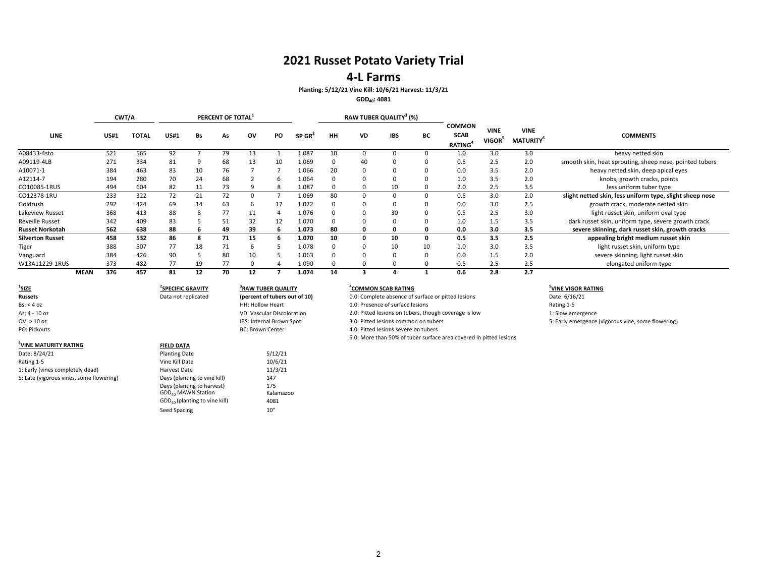### **4‐L Farms**

### **Planting: 5/12/21 Vine Kill: 10/6/21 Harvest: 11/3/21**

**GDD40: 4081**

|                         |             |             | CWT/A        |             |    | PERCENT OF TOTAL <sup>1</sup> |    |     |                                   |           | RAW TUBER QUALITY <sup>3</sup> (%) |            |              |                                                            |                                   |                                             |                                                          |
|-------------------------|-------------|-------------|--------------|-------------|----|-------------------------------|----|-----|-----------------------------------|-----------|------------------------------------|------------|--------------|------------------------------------------------------------|-----------------------------------|---------------------------------------------|----------------------------------------------------------|
| LINE                    |             | <b>US#1</b> | <b>TOTAL</b> | <b>US#1</b> | Bs | As                            | ov | PO. | $SP$ GR <sup><math>2</math></sup> | <b>HH</b> | VD                                 | <b>IBS</b> | ВC           | <b>COMMON</b><br><b>SCAB</b><br><b>RATING</b> <sup>4</sup> | <b>VINE</b><br>VIGOR <sup>5</sup> | <b>VINE</b><br><b>MATURITY</b> <sup>6</sup> | <b>COMMENTS</b>                                          |
| A08433-4sto             |             | 521         | 565          | 92          |    | 79                            | 13 |     | 1.087                             | 10        |                                    |            |              | 1.0                                                        | 3.0                               | 3.0                                         | heavy netted skin                                        |
| A09119-4LB              |             | 271         | 334          | 81          |    | 68                            | 13 | 10  | 1.069                             | $\Omega$  | 40                                 |            |              | 0.5                                                        | 2.5                               | 2.0                                         | smooth skin, heat sprouting, sheep nose, pointed tubers  |
| A10071-1                |             | 384         | 463          | 83          | 10 | 76                            |    |     | 1.066                             | 20        | 0                                  |            |              | 0.0                                                        | 3.5                               | 2.0                                         | heavy netted skin, deep apical eyes                      |
| A12114-7                |             | 194         | 280          | 70          | 24 | 68                            |    |     | 1.064                             | n         | 0                                  |            |              | 1.0                                                        | 3.5                               | 2.0                                         | knobs, growth cracks, points                             |
| CO10085-1RUS            |             | 494         | 604          | 82          | 11 | 73                            | 9  | 8   | 1.087                             | n         | 0                                  | 10         |              | 2.0                                                        | 2.5                               | 3.5                                         | less uniform tuber type                                  |
| CO12378-1RU             |             | 233         | 322          | 72          | 21 | 72                            | 0  |     | 1.069                             | 80        | 0                                  |            | $\Omega$     | 0.5                                                        | 3.0                               | 2.0                                         | slight netted skin, less uniform type, slight sheep nose |
| Goldrush                |             | 292         | 424          | 69          | 14 | 63                            | 6  | 17  | 1.072                             | $\Omega$  | 0                                  |            | $\Omega$     | 0.0                                                        | 3.0                               | 2.5                                         | growth crack, moderate netted skin                       |
| Lakeview Russet         |             | 368         | 413          | 88          |    | 77                            | 11 | 4   | 1.076                             | $\Omega$  | 0                                  | 30         | $\Omega$     | 0.5                                                        | 2.5                               | 3.0                                         | light russet skin, uniform oval type                     |
| <b>Reveille Russet</b>  |             | 342         | 409          | 83          |    | 51                            | 32 | 12  | 1.070                             | n         | 0                                  |            | 0            | 1.0                                                        | 1.5                               | 3.5                                         | dark russet skin, uniform type, severe growth crack      |
| <b>Russet Norkotah</b>  |             | 562         | 638          | 88          |    | 49                            | 39 | h   | 1.073                             | 80        | 0                                  |            | <sup>0</sup> | 0.0                                                        | 3.0                               | 3.5                                         | severe skinning, dark russet skin, growth cracks         |
| <b>Silverton Russet</b> |             | 458         | 532          | 86          |    | 71                            | 15 | h   | 1.070                             | 10        | 0                                  | 10         | 0            | 0.5                                                        | 3.5                               | 2.5                                         | appealing bright medium russet skin                      |
| Tiger                   |             | 388         | 507          | 77          | 18 | 71                            | ь  |     | 1.078                             | $\Omega$  | 0                                  | 10         | 10           | 1.0                                                        | 3.0                               | 3.5                                         | light russet skin, uniform type                          |
| Vanguard                |             | 384         | 426          | 90          |    | 80                            | 10 |     | 1.063                             | n         | 0                                  |            | $\Omega$     | 0.0                                                        | 1.5                               | 2.0                                         | severe skinning, light russet skin                       |
| W13A11229-1RUS          |             | 373         | 482          | 77          | 19 | 77                            |    |     | 1.090                             |           | 0                                  |            |              | 0.5                                                        | 2.5                               | 2.5                                         | elongated uniform type                                   |
|                         | <b>MEAN</b> | 376         | 457          | 81          | 12 | 70                            | 12 |     | 1.074                             | 14        |                                    |            |              | 0.6                                                        | 2.8                               | 2.7                                         |                                                          |

| $\frac{1}{2}$ size                       | <sup>2</sup> SPECIFIC GRAVITY   | <sup>3</sup> RAW TUBER QUALITY    | <b>"COMMON SCAB RATING</b>                                         | <sup>5</sup> VINE VIGOR |
|------------------------------------------|---------------------------------|-----------------------------------|--------------------------------------------------------------------|-------------------------|
| <b>Russets</b>                           | Data not replicated             | (percent of tubers out of 10)     | 0.0: Complete absence of surface or pitted lesions                 | Date: 6/16/21           |
| Bs: < 4 oz                               |                                 | HH: Hollow Heart                  | 1.0: Presence of surface lesions                                   | Rating 1-5              |
| As: 4 - 10 oz                            |                                 | <b>VD: Vascular Discoloration</b> | 2.0: Pitted lesions on tubers, though coverage is low              | 1: Slow emerg           |
| $OV:$ > 10 oz                            |                                 | IBS: Internal Brown Spot          | 3.0: Pitted lesions common on tubers                               | 5: Early emerg          |
| PO: Pickouts                             |                                 | <b>BC: Brown Center</b>           | 4.0: Pitted lesions severe on tubers                               |                         |
|                                          |                                 |                                   | 5.0: More than 50% of tuber surface area covered in pitted lesions |                         |
| VINE MATURITY RATING                     | <b>FIELD DATA</b>               |                                   |                                                                    |                         |
| Date: 8/24/21                            | <b>Planting Date</b>            | 5/12/21                           |                                                                    |                         |
| Rating 1-5                               | Vine Kill Date                  | 10/6/21                           |                                                                    |                         |
| 1: Early (vines completely dead)         | <b>Harvest Date</b>             | 11/3/21                           |                                                                    |                         |
| 5: Late (vigorous vines, some flowering) | Days (planting to vine kill)    | 147                               |                                                                    |                         |
|                                          | Days (planting to harvest)      | 175                               |                                                                    |                         |
|                                          | GDD <sub>40</sub> MAWN Station  | Kalamazoo                         |                                                                    |                         |
|                                          | $GDD40$ (planting to vine kill) | 4081                              |                                                                    |                         |
|                                          | Seed Spacing                    | 10"                               |                                                                    |                         |

 **SCAB RATING 5VINE VIGOR RATING** 1: Slow emergence 5: Early emergence (vigorous vine, some flowering)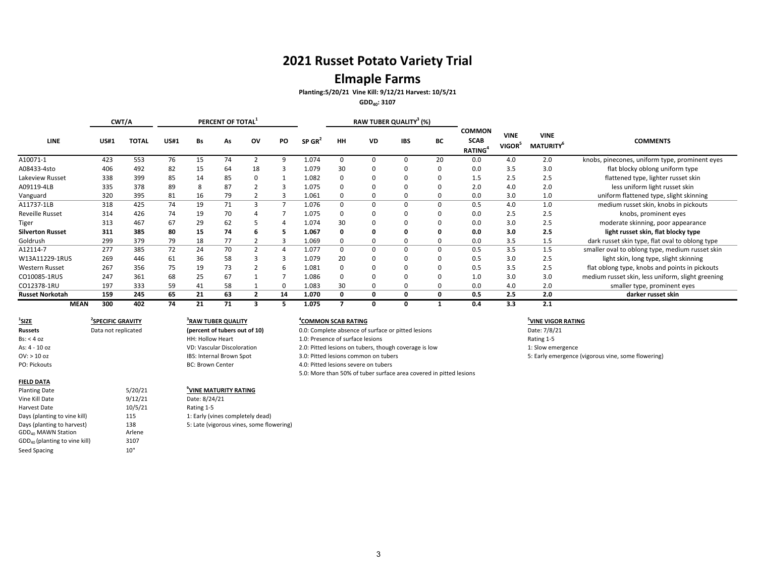# **Elmaple Farms**

**Planting:5/20/21 Vine Kill: 9/12/21 Harvest: 10/5/21**

**GDD40: 3107**

|                         |             | CWT/A        |             |    | PERCENT OF TOTAL |                |           |                    |          | RAW TUBER QUALITY <sup>3</sup> (%) |             |    |                                                            |                                   |                                             |                                                   |
|-------------------------|-------------|--------------|-------------|----|------------------|----------------|-----------|--------------------|----------|------------------------------------|-------------|----|------------------------------------------------------------|-----------------------------------|---------------------------------------------|---------------------------------------------------|
| <b>LINE</b>             | <b>US#1</b> | <b>TOTAL</b> | <b>US#1</b> | Bs | As               | ov             | <b>PO</b> | SP GR <sup>4</sup> | HH       | VD                                 | <b>IBS</b>  | ВC | <b>COMMON</b><br><b>SCAB</b><br><b>RATING</b> <sup>4</sup> | <b>VINE</b><br>VIGOR <sup>5</sup> | <b>VINE</b><br><b>MATURITY</b> <sup>b</sup> | <b>COMMENTS</b>                                   |
| A10071-1                | 423         | 553          | 76          | 15 | 74               |                | $\Omega$  | 1.074              |          |                                    |             | 20 | 0.0                                                        | 4.0                               | 2.0                                         | knobs, pinecones, uniform type, prominent eyes    |
| A08433-4sto             | 406         | 492          | 82          | 15 | 64               | 18             |           | 1.079              | 30       | <sup>0</sup>                       |             |    | 0.0                                                        | 3.5                               | 3.0                                         | flat blocky oblong uniform type                   |
| Lakeview Russet         | 338         | 399          | 85          | 14 | 85               |                |           | 1.082              |          |                                    |             |    | 1.5                                                        | 2.5                               | 2.5                                         | flattened type, lighter russet skin               |
| A09119-4LB              | 335         | 378          | 89          |    | 87               |                |           | 1.075              |          |                                    |             |    | 2.0                                                        | 4.0                               | 2.0                                         | less uniform light russet skin                    |
| Vanguard                | 320         | 395          | 81          | 16 | 79               |                |           | 1.061              | $\Omega$ | 0                                  | 0           |    | 0.0                                                        | 3.0                               | 1.0                                         | uniform flattened type, slight skinning           |
| A11737-1LB              | 318         | 425          | 74          | 19 | 71               | 3              |           | 1.076              | $\Omega$ | <sup>0</sup>                       | $\mathbf 0$ |    | 0.5                                                        | 4.0                               | 1.0                                         | medium russet skin, knobs in pickouts             |
| <b>Reveille Russet</b>  | 314         | 426          | 74          | 19 | 70               |                |           | 1.075              | $\Omega$ | 0                                  | 0           |    | 0.0                                                        | 2.5                               | 2.5                                         | knobs, prominent eyes                             |
| Tiger                   | 313         | 467          | 67          | 29 | 62               |                |           | 1.074              | 30       |                                    |             |    | 0.0                                                        | 3.0                               | 2.5                                         | moderate skinning, poor appearance                |
| <b>Silverton Russet</b> | 311         | 385          | 80          | 15 | 74               |                |           | 1.067              | 0        | 0                                  | 0           |    | 0.0                                                        | 3.0                               | 2.5                                         | light russet skin, flat blocky type               |
| Goldrush                | 299         | 379          | 79          | 18 | 77               |                |           | 1.069              | 0        | 0                                  | 0           |    | 0.0                                                        | 3.5                               | 1.5                                         | dark russet skin type, flat oval to oblong type   |
| A12114-7                | 277         | 385          | 72          | 24 | 70               | $\overline{2}$ |           | 1.077              | 0        | $\Omega$                           | 0           | 0  | 0.5                                                        | 3.5                               | 1.5                                         | smaller oval to oblong type, medium russet skin   |
| W13A11229-1RUS          | 269         | 446          | 61          | 36 | 58               |                |           | 1.079              | 20       | <sup>0</sup>                       |             |    | 0.5                                                        | 3.0                               | 2.5                                         | light skin, long type, slight skinning            |
| Western Russet          | 267         | 356          | 75          | 19 | 73               |                | -6        | 1.081              | $\Omega$ | 0                                  |             |    | 0.5                                                        | 3.5                               | 2.5                                         | flat oblong type, knobs and points in pickouts    |
| CO10085-1RUS            | 247         | 361          | 68          | 25 | 67               |                |           | 1.086              | $\Omega$ | $\Omega$                           |             |    | 1.0                                                        | 3.0                               | 3.0                                         | medium russet skin, less uniform, slight greening |
| CO12378-1RU             | 197         | 333          | 59          | 41 | 58               |                |           | 1.083              | 30       | 0                                  |             |    | 0.0                                                        | 4.0                               | 2.0                                         | smaller type, prominent eyes                      |
| <b>Russet Norkotah</b>  | 159         | 245          | 65          | 21 | 63               |                | 14        | 1.070              | 0        | 0                                  | 0           |    | 0.5                                                        | 2.5                               | 2.0                                         | darker russet skin                                |
| <b>MEAN</b>             | 300         | 402          | 74          | 21 | 71               |                |           | 1.075              |          |                                    | 0           |    | 0.4                                                        | 3.3                               | 2.1                                         |                                                   |

 $1$ **SIZE 2SPECIFIC GRAVITY 3RAWRussets**Bs: < 4As: 4 ‐ 10OV: > 10

### PO: Pickouts**FIELD DATA**

#### **Planting Date** 5/20/21 <sup>6</sup>VINE</sup> MATURITY RATING Vine Kill Date Harvest DateDays (planting to vine kill) 115 115 1: Early (vines completely dead) Days (planting to harvest) 138 5: Late (vigorous vines, some flowering) GDD<sub>40</sub> MAWN Station **Arlene**  $\mathsf{GDD}_{40}$  (planting to vine kill) 3107 Seed Spacing 10"

Data not replicated

HH: Hollow Heart

**BC: Brown Center** 

9/12/21 Date: 8/24/21

10/5/21 Rating 1‐5

VD: Vascular Discoloration

IBS: Internal Brown Spot

### **TUBER QUALITY 4COMMON SCAB RATING 5VINE VIGOR RATING**

 not replicated **(percent of tubers out of 10)** 0.0: Complete absence of surface or pitted lesions Date: 7/8/21 1.0: Presence of surface lesions Rating 1-5 2.0: Pitted lesions on tubers, though coverage is low 1: Slow emergence Spot 3.0: Pitted lesions common on tubers 5: Early emergence (vigorous vine, some flowering) 4.0: Pitted lesions severe on tubers 5.0: More than 50% of tuber surface area covered in pitted lesions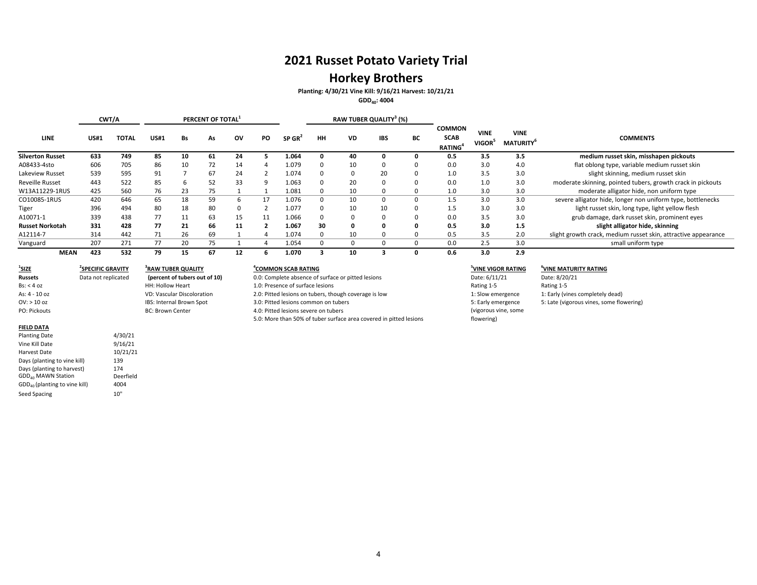# **Horkey Brothers**

**Planting: 4/30/21 Vine Kill: 9/16/21 Harvest: 10/21/21**

**GDD40: 4004**

|                         |             | CWT/A        |             |    | PERCENT OF TOTAL <sup>1</sup> |    |    |       |          | RAW TUBER QUALITY <sup>3</sup> (%) |            |          |                                               |                                   |                                |                                                                |
|-------------------------|-------------|--------------|-------------|----|-------------------------------|----|----|-------|----------|------------------------------------|------------|----------|-----------------------------------------------|-----------------------------------|--------------------------------|----------------------------------------------------------------|
| <b>LINE</b>             | <b>US#1</b> | <b>TOTAL</b> | <b>US#1</b> | Bs | As                            | ov | PO | SP GR | нн       | VD                                 | <b>IBS</b> | BС       | <b>COMMON</b><br><b>SCAB</b><br><b>RATING</b> | <b>VINE</b><br>VIGOR <sup>:</sup> | <b>VINE</b><br><b>MATURITY</b> | <b>COMMENTS</b>                                                |
| <b>Silverton Russet</b> | 633         | 749          | 85          | 10 | 61                            | 24 |    | 1.064 |          | 40                                 |            |          | 0.5                                           | 3.5                               | 3.5                            | medium russet skin, misshapen pickouts                         |
| A08433-4sto             | 606         | 705          | 86          | 10 | 72                            | 14 |    | 1.079 |          | 10                                 |            |          | 0.0                                           | 3.0                               | 4.0                            | flat oblong type, variable medium russet skin                  |
| Lakeview Russet         | 539         | 595          | 91          |    | 67                            | 24 |    | 1.074 | $\Omega$ |                                    | 20         | $\Omega$ | 1.0                                           | 3.5                               | 3.0                            | slight skinning, medium russet skin                            |
| <b>Reveille Russet</b>  | 443         | 522          | 85          | ь  | 52                            | 33 |    | 1.063 |          | 20                                 | $\Omega$   |          | 0.0                                           | 1.0                               | 3.0                            | moderate skinning, pointed tubers, growth crack in pickouts    |
| W13A11229-1RUS          | 425         | 560          | 76          | 23 | 75                            |    |    | 1.081 |          | 10                                 | $\Omega$   | n        | 1.0                                           | 3.0                               | 3.0                            | moderate alligator hide, non uniform type                      |
| CO10085-1RUS            | 420         | 646          | 65          | 18 | 59                            |    |    | 1.076 | 0        | 10                                 | 0          | $\Omega$ | 1.5                                           | 3.0                               | 3.0                            | severe alligator hide, longer non uniform type, bottlenecks    |
| Tiger                   | 396         | 494          | 80          | 18 | 80                            | n  |    | 1.077 | n        | 10                                 | 10         | $\Omega$ | 1.5                                           | 3.0                               | 3.0                            | light russet skin, long type, light yellow flesh               |
| A10071-1                | 339         | 438          | 77          |    | 63                            | 15 |    | 1.066 |          |                                    | $\Omega$   |          | 0.0                                           | 3.5                               | 3.0                            | grub damage, dark russet skin, prominent eyes                  |
| <b>Russet Norkotah</b>  | 331         | 428          | 77          | 21 | 66                            | 11 |    | 1.067 | 30       |                                    | o          |          | 0.5                                           | 3.0                               | 1.5                            | slight alligator hide, skinning                                |
| A12114-7                | 314         | 442          | 71          | 26 | 69                            |    |    | 1.074 |          | 10                                 |            |          | 0.5                                           | 3.5                               | 2.0                            | slight growth crack, medium russet skin, attractive appearance |
| Vanguard                | 207         | 271          | 77          | 20 | 75                            |    |    | 1.054 |          |                                    | $\Omega$   | $\Omega$ | 0.0                                           | 2.5                               | 3.0                            | small uniform type                                             |
| <b>MEAN</b>             | 423         | 532          | 79          | 15 | 67                            | 12 |    | 1.070 |          |                                    |            |          | 0.6                                           | 3.0                               | 2.9                            |                                                                |

| $1$ SIZE            | <sup>2</sup> SPECIFIC GRAVITY | <sup>3</sup> RAW TUBER QUALITY    |
|---------------------|-------------------------------|-----------------------------------|
| <b>Russets</b>      | Data not replicated           | (percent of tubers out of         |
| $\text{Bs}:$ < 4 oz |                               | <b>HH: Hollow Heart</b>           |
| As: 4 - 10 oz       |                               | <b>VD: Vascular Discoloration</b> |
| $OV: > 10$ oz       |                               | IBS: Internal Brown Spot          |
| PO: Pickouts        |                               | <b>BC: Brown Center</b>           |
|                     |                               |                                   |
|                     |                               |                                   |

| IELD DAT. |
|-----------|
|-----------|

| <b>Planting Date</b>                      | 4/30/21   |
|-------------------------------------------|-----------|
| Vine Kill Date                            | 9/16/21   |
| Harvest Date                              | 10/21/21  |
| Days (planting to vine kill)              | 139       |
| Days (planting to harvest)                | 174       |
| GDD <sub>40</sub> MAWN Station            | Deerfield |
| GDD <sub>40</sub> (planting to vine kill) | 4004      |
| Seed Spacing                              | 10"       |

# **(percent of tubers out of 10)**

| HH: Hollow Heart                  |
|-----------------------------------|
| <b>VD: Vascular Discoloration</b> |
| IBS: Internal Brown Spot          |
| <b>BC: Brown Center</b>           |
|                                   |

### **<u><sup>4</sup>COMMON SCAB RATING</u>**

0.0: Complete absence of surface or pitted lesions Date: 6/11/21 Date: 8/20/21 1.0: Presence of surface lesions and the set of surface lesions Rating 1‐5 Rating 1‐5 Rating 1‐5 2.0: Pitted lesions on tubers, though coverage is low 1: Slow emergence 1: Early (vines completely dead) 3.0: Pitted lesions common on tubers 6.0: Pitted lesions common on tubers 5: Late (vigorous vines, some flowering) 4.0: Pitted lesions severe on tubers 5.0: More than 50% of tuber surface area covered in pitted lesions

5: Early emergence (vigorous vine, some flowering)

### **SCAB RATING 5VINE VIGOR RATING 6VINE MATURITY RATING**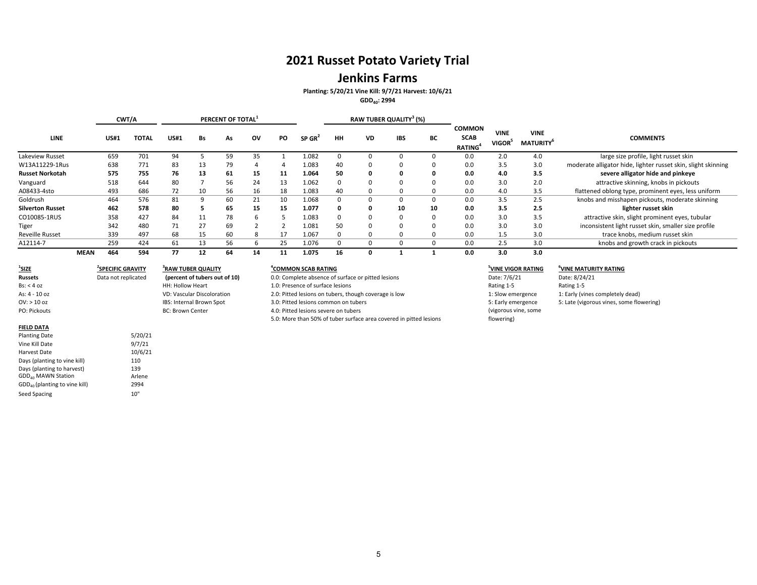### **Jenkins Farms**

**Planting: 5/20/21 Vine Kill: 9/7/21 Harvest: 10/6/21**

**GDD40: 2994**

|                         |             |             | CWT/A        |             |    | PERCENT OF TOTAL <sup>1</sup> |    |           |                    |              | RAW TUBER QUALITY <sup>3</sup> (%) |            |    |                                               |                       |                                |                                                               |
|-------------------------|-------------|-------------|--------------|-------------|----|-------------------------------|----|-----------|--------------------|--------------|------------------------------------|------------|----|-----------------------------------------------|-----------------------|--------------------------------|---------------------------------------------------------------|
| <b>LINE</b>             |             | <b>US#1</b> | <b>TOTAL</b> | <b>US#1</b> | Bs | As                            | ov | <b>PO</b> | SP GR <sup>2</sup> | HH           | <b>VD</b>                          | <b>IBS</b> | BС | <b>COMMON</b><br><b>SCAB</b><br><b>RATING</b> | <b>VINE</b><br>VIGOR' | <b>VINE</b><br><b>MATURITY</b> | <b>COMMENTS</b>                                               |
| Lakeview Russet         |             | 659         | 701          | 94          |    | 59                            | 35 |           | 1.082              |              |                                    |            |    | 0.0                                           | 2.0                   | 4.0                            | large size profile, light russet skin                         |
| W13A11229-1Rus          |             | 638         | 771          | 83          | 13 | 79                            |    |           | 1.083              | 40           |                                    |            |    | 0.0                                           | 3.5                   | 3.0                            | moderate alligator hide, lighter russet skin, slight skinning |
| <b>Russet Norkotah</b>  |             | 575         | 755          | 76          | 13 | 61                            | 15 | 11        | 1.064              | 50           |                                    |            |    | 0.0                                           | 4.0                   | 3.5                            | severe alligator hide and pinkeye                             |
| Vanguard                |             | 518         | 644          | 80          |    | 56                            | 24 | 13        | 1.062              | <sup>0</sup> |                                    |            |    | 0.0                                           | 3.0                   | 2.0                            | attractive skinning, knobs in pickouts                        |
| A08433-4sto             |             | 493         | 686          | 72          | 10 | 56                            | 16 | 18        | 1.083              | 40           |                                    |            |    | 0.0                                           | 4.0                   | 3.5                            | flattened oblong type, prominent eyes, less uniform           |
| Goldrush                |             | 464         | 576          | 81          |    | 60                            | 21 | 10        | 1.068              | $\Omega$     |                                    |            |    | 0.0                                           | 3.5                   | 2.5                            | knobs and misshapen pickouts, moderate skinning               |
| <b>Silverton Russet</b> |             | 462         | 578          | 80          |    | 65                            | 15 | 15        | 1.077              |              |                                    | 10         | 10 | 0.0                                           | 3.5                   | 2.5                            | lighter russet skin                                           |
| CO10085-1RUS            |             | 358         | 427          | 84          | 11 | 78                            |    |           | 1.083              |              |                                    |            |    | 0.0                                           | 3.0                   | 3.5                            | attractive skin, slight prominent eyes, tubular               |
| Tiger                   |             | 342         | 480          | 71          | 27 | 69                            |    |           | 1.081              | 50           |                                    |            |    | 0.0                                           | 3.0                   | 3.0                            | inconsistent light russet skin, smaller size profile          |
| <b>Reveille Russet</b>  |             | 339         | 497          | 68          | 15 | 60                            | 8  |           | 1.067              |              |                                    |            |    | 0.0                                           | 1.5                   | 3.0                            | trace knobs, medium russet skin                               |
| A12114-7                |             | 259         | 424          | 61          | 13 | 56                            |    | 25        | 1.076              |              |                                    |            |    | 0.0                                           | 2.5                   | 3.0                            | knobs and growth crack in pickouts                            |
|                         | <b>MEAN</b> | 464         | 594          | 77          | 12 | 64                            | 14 |           | 1.075              | 16           |                                    |            |    | 0.0                                           | 3.0                   | 3.0                            |                                                               |

| <sup>1</sup> SIZE              | <b>SPECIFIC GRAVITY</b> | <sup>3</sup> RAW TUBER QUALITY    |
|--------------------------------|-------------------------|-----------------------------------|
| <b>Russets</b>                 | Data not replicated     | (percent of tubers out of 10)     |
| $\text{Bs}:$ < 4 oz            |                         | <b>HH: Hollow Heart</b>           |
| As: $4 - 10$ oz                |                         | <b>VD: Vascular Discoloration</b> |
| OV: > 10 oz                    |                         | IBS: Internal Brown Spot          |
| PO: Pickouts                   |                         | <b>BC: Brown Center</b>           |
|                                |                         |                                   |
| <b>FIELD DATA</b>              |                         |                                   |
| <b>Planting Date</b>           | 5/20/21                 |                                   |
| Vine Kill Date                 | 9/7/21                  |                                   |
| Harvest Date                   | 10/6/21                 |                                   |
| Days (planting to vine kill)   | 110                     |                                   |
| Days (planting to harvest)     | 139                     |                                   |
| GDD <sub>40</sub> MAWN Station | Arlene                  |                                   |

GDD<sub>40</sub> MAWN Station **Arlene** GDD<sub>40</sub> (planting to vine kill) 2994 Seed Spacing 10"

### **GRAVITY 4COMMON3RAW TUBER QUALITY**

0.0: Complete absence of surface or pitted lesions Date: 7/6/21 Date: 8/24/21 ollow Heart 1.0: Presence of surface lesions Rating 1.5 Rating 1‐5 Rating 1‐5 2.0: Pitted lesions on tubers, though coverage is low 1: Slow emergence 1: Early (vines completely dead) 3.0: Pitted lesions common on tubers 6.0: Pitted lesions common on tubers 5: Late (vigorous vines, some flowering) own Center **1.0: Pitted lesions severe on tubers** 5.0: More than 50% of tuber surface area covered in pitted lesions

### **SCAB RATING 5VINE VIGOR RATING 6VINE MATURITY RATING**

5: Early emergence (vigorous vine, some flowering)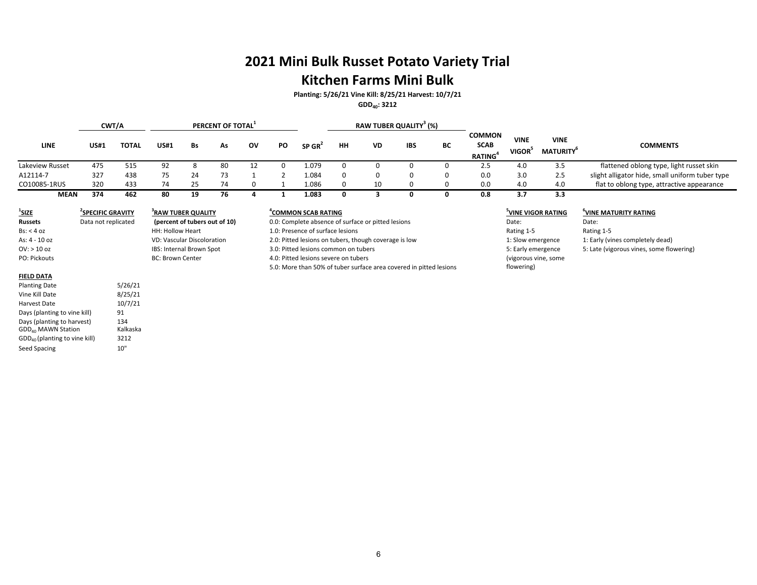# **2021 Mini Bulk Russet Potato Variety Trial**

# **Kitchen Farms Mini Bulk**

**Planting: 5/26/21 Vine Kill: 8/25/21 Harvest: 10/7/21**

**GDD40: 3212**

|                                                                                                                                                 |                                                      | CWT/A                                |                                |                               | PERCENT OF TOTAL <sup>1</sup> |    |    |                                                                                       |             |    | RAW TUBER QUALITY <sup>3</sup> (%) |             |                                                     |                                         |                                             |                                                 |
|-------------------------------------------------------------------------------------------------------------------------------------------------|------------------------------------------------------|--------------------------------------|--------------------------------|-------------------------------|-------------------------------|----|----|---------------------------------------------------------------------------------------|-------------|----|------------------------------------|-------------|-----------------------------------------------------|-----------------------------------------|---------------------------------------------|-------------------------------------------------|
| <b>LINE</b>                                                                                                                                     | <b>US#1</b>                                          | <b>TOTAL</b>                         | <b>US#1</b>                    | <b>Bs</b>                     | As                            | ov | PO | $SP$ GR <sup>2</sup>                                                                  | HH          | VD | <b>IBS</b>                         | BC          | <b>COMMON</b><br><b>SCAB</b><br>RATING <sup>4</sup> | <b>VINE</b><br>VIGOR <sup>5</sup>       | <b>VINE</b><br><b>MATURITY</b> <sup>6</sup> | <b>COMMENTS</b>                                 |
| Lakeview Russet                                                                                                                                 | 475                                                  | 515                                  | 92                             | 8                             | 80                            | 12 | 0  | 1.079                                                                                 | $\mathbf 0$ | 0  | 0                                  | $\mathbf 0$ | 2.5                                                 | 4.0                                     | 3.5                                         | flattened oblong type, light russet skin        |
| A12114-7                                                                                                                                        | 327                                                  | 438                                  | 75                             | 24                            | 73                            |    |    | 1.084                                                                                 | $\mathbf 0$ | 0  | 0                                  | $\mathbf 0$ | 0.0                                                 | 3.0                                     | 2.5                                         | slight alligator hide, small uniform tuber type |
| CO10085-1RUS                                                                                                                                    | 320                                                  | 433                                  | 74                             | 25                            | 74                            | 0  |    | 1.086                                                                                 | $\mathbf 0$ | 10 | 0                                  | $\mathbf 0$ | 0.0                                                 | 4.0                                     | 4.0                                         | flat to oblong type, attractive appearance      |
| <b>MEAN</b>                                                                                                                                     | 374                                                  | 462                                  | 80                             | 19                            | 76                            | 4  | -1 | 1.083                                                                                 | 0           | 3  | 0                                  | 0           | 0.8                                                 | 3.7                                     | 3.3                                         |                                                 |
| $\frac{1}{2}$ SIZE<br><b>Russets</b>                                                                                                            | <sup>2</sup> SPECIFIC GRAVITY<br>Data not replicated |                                      | <sup>3</sup> RAW TUBER QUALITY | (percent of tubers out of 10) |                               |    |    | <sup>4</sup> COMMON SCAB RATING<br>0.0: Complete absence of surface or pitted lesions |             |    |                                    |             |                                                     | <sup>5</sup> VINE VIGOR RATING<br>Date: |                                             | VINE MATURITY RATING<br>Date:                   |
| Bs: < 4 oz                                                                                                                                      |                                                      |                                      | HH: Hollow Heart               |                               |                               |    |    | 1.0: Presence of surface lesions                                                      |             |    |                                    |             |                                                     | Rating 1-5                              |                                             | Rating 1-5                                      |
| As: 4 - 10 oz                                                                                                                                   |                                                      |                                      | VD: Vascular Discoloration     |                               |                               |    |    | 2.0: Pitted lesions on tubers, though coverage is low                                 |             |    |                                    |             |                                                     | 1: Slow emergence                       |                                             | 1: Early (vines completely dead)                |
| $OV:$ > 10 oz                                                                                                                                   |                                                      |                                      | IBS: Internal Brown Spot       |                               |                               |    |    | 3.0: Pitted lesions common on tubers                                                  |             |    |                                    |             |                                                     | 5: Early emergence                      |                                             | 5: Late (vigorous vines, some flowering)        |
| PO: Pickouts                                                                                                                                    |                                                      |                                      | <b>BC: Brown Center</b>        |                               |                               |    |    | 4.0: Pitted lesions severe on tubers                                                  |             |    |                                    |             |                                                     | (vigorous vine, some                    |                                             |                                                 |
|                                                                                                                                                 |                                                      |                                      |                                |                               |                               |    |    | 5.0: More than 50% of tuber surface area covered in pitted lesions                    |             |    |                                    |             |                                                     | flowering)                              |                                             |                                                 |
| <b>FIELD DATA</b>                                                                                                                               |                                                      |                                      |                                |                               |                               |    |    |                                                                                       |             |    |                                    |             |                                                     |                                         |                                             |                                                 |
| <b>Planting Date</b>                                                                                                                            |                                                      | 5/26/21                              |                                |                               |                               |    |    |                                                                                       |             |    |                                    |             |                                                     |                                         |                                             |                                                 |
| Vine Kill Date                                                                                                                                  |                                                      | 8/25/21                              |                                |                               |                               |    |    |                                                                                       |             |    |                                    |             |                                                     |                                         |                                             |                                                 |
| <b>Harvest Date</b>                                                                                                                             |                                                      | 10/7/21                              |                                |                               |                               |    |    |                                                                                       |             |    |                                    |             |                                                     |                                         |                                             |                                                 |
| Days (planting to vine kill)<br>Days (planting to harvest)<br>GDD <sub>40</sub> MAWN Station<br>$GDD40$ (planting to vine kill)<br>Seed Spacing |                                                      | 91<br>134<br>Kalkaska<br>3212<br>10" |                                |                               |                               |    |    |                                                                                       |             |    |                                    |             |                                                     |                                         |                                             |                                                 |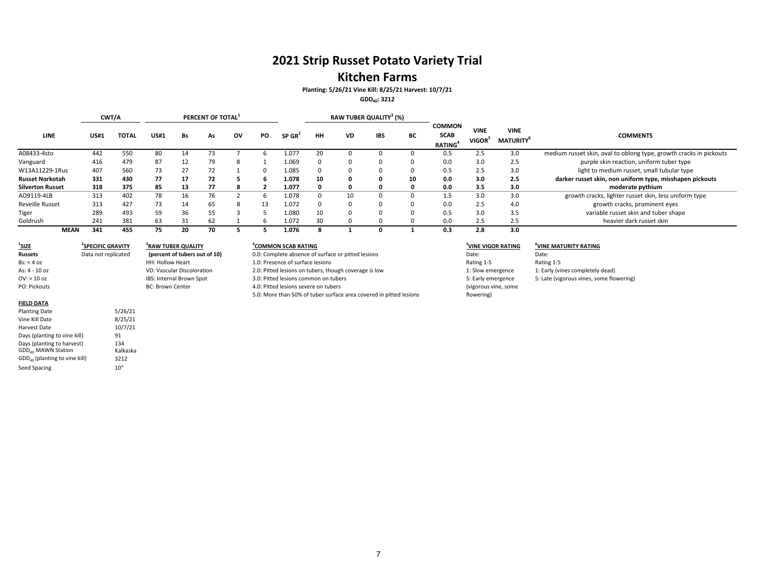## **2021 Strip Russet Potato Variety Trial**

### **Kitchen Farms**

**Planting: 5/26/21 Vine Kill: 8/25/21 Harvest: 10/7/21**

#### **GDD40: 3212**

|                         |             | CWT/A        |             |    | PERCENT OF TOTAL <sup>1</sup> |    |    |        |    |           | RAW TUBER QUALITY <sup>3</sup> (%) |    |                                                            |                      |                                             |                                                                    |
|-------------------------|-------------|--------------|-------------|----|-------------------------------|----|----|--------|----|-----------|------------------------------------|----|------------------------------------------------------------|----------------------|---------------------------------------------|--------------------------------------------------------------------|
| <b>LINE</b>             | <b>US#1</b> | <b>TOTAL</b> | <b>US#1</b> | Bs | As                            | ov | PO | SP GR' | HН | <b>VD</b> | <b>IBS</b>                         | BC | <b>COMMON</b><br><b>SCAB</b><br><b>RATING</b> <sup>4</sup> | <b>VINE</b><br>VIGOR | <b>VINE</b><br><b>MATURITY</b> <sup>6</sup> | <b>COMMENTS</b>                                                    |
| A08433-4sto             | 442         | 550          | 80          | 14 |                               |    |    | 1.077  | 20 |           |                                    |    | 0.5                                                        | 2.5                  | 3.0                                         | medium russet skin, oval to oblong type, growth cracks in pickouts |
| Vanguard                | 416         | 479          | 87          | 12 | 79                            |    |    | 1.069  |    |           |                                    |    | 0.0                                                        | 3.0                  | 2.5                                         | purple skin reaction, uniform tuber type                           |
| W13A11229-1Rus          | 407         | 560          | 73          | 27 | 72                            |    |    | 1.085  |    | $\Omega$  | $\Omega$                           |    | 0.5                                                        | 2.5                  | 3.0                                         | light to medium russet, small tubular type                         |
| <b>Russet Norkotah</b>  | 331         | 430          | 77          | 17 | 72                            |    |    | 1.078  | 10 | 0         |                                    | 10 | 0.0                                                        | 3.0                  | 2.5                                         | darker russet skin, non uniform type, misshapen pickouts           |
| <b>Silverton Russet</b> | 318         | 375          | 85          | 13 | 77                            |    |    | 1.077  | 0  | 0         |                                    |    | 0.0                                                        | 3.5                  | 3.0                                         | moderate pythium                                                   |
| A09119-4LB              | 313         | 402          | 78          | 16 | 76                            |    |    | 1.078  |    | 10        |                                    |    | 1.5                                                        | 3.0                  | 3.0                                         | growth cracks, lighter russet skin, less uniform type              |
| <b>Reveille Russet</b>  | 313         | 427          | 73          | 14 | 65                            |    | 13 | 1.072  |    | $\Omega$  |                                    |    | 0.0                                                        | 2.5                  | 4.0                                         | growth cracks, prominent eyes                                      |
| <b>Tiger</b>            | 289         | 493          | 59          | 36 | 55                            |    |    | 1.080  | 10 | $\Omega$  |                                    |    | 0.5                                                        | 3.0                  | 3.5                                         | variable russet skin and tuber shape                               |
| Goldrush                | 241         | 381          | 63          | 31 | 62                            |    |    | 1.072  | 30 |           |                                    |    | 0.0                                                        | 2.5                  | 2.5                                         | heavier dark russet skin                                           |
| <b>MEAN</b>             | 341         | 455          | 75          | 20 | 70                            |    |    | 1.076  |    |           |                                    |    | 0.3                                                        | 2.8                  | 3.0                                         |                                                                    |

 $1$ **SIZE Russets**Bs: < 4As: 4 ‐ 10OV: > 10PO: Pickouts

**2SPECIFIC GRAVITY** 

Data not replicated

HH: Hollow Heart

**BC: Brown Center** 

VD: Vascular Discoloration

**(percent of tubers out of 10)**

IBS: Internal Brown Spot

#### **FIELD DATA**

| <b>Planting Date</b>            | 5/26/21  |
|---------------------------------|----------|
| Vine Kill Date                  | 8/25/21  |
| Harvest Date                    | 10/7/21  |
| Days (planting to vine kill)    | 91       |
| Days (planting to harvest)      | 134      |
| GDD <sub>40</sub> MAWN Station  | Kalkaska |
| $GDD40$ (planting to vine kill) | 3212     |
| Seed Spacing                    | 10"      |

#### **GRAVITY 4COMMON3RAW TUBER QUALITY SCAB RATING 5VINE VIGOR RATING 6VINE MATURITY RATING**

0.0: Complete absence of surface or pitted lesions Date: Date: Date: Date: 1.0: Presence of surface lesions Rating 1‐5 2.0: Pitted lesions on tubers, though coverage is low 1: Slow emergence 1: Slow emergence 1: Early (vines completely dead) 3.0: Pitted lesions common on tubers **5: Late (vigorous vines, some flowering)** 5: Late (vigorous vines, some flowering) 4.0: Pitted lesions severe on tubers 5.0: More than 50% of tuber surface area covered in pitted lesions

flowering)

| Rating 1-5           | Rating 1-5                         |
|----------------------|------------------------------------|
| 1: Slow emergence    | 1: Early (vines completely dead)   |
| 5: Early emergence   | 5: Late (vigorous vines, some flow |
| (vigorous vine, some |                                    |
|                      |                                    |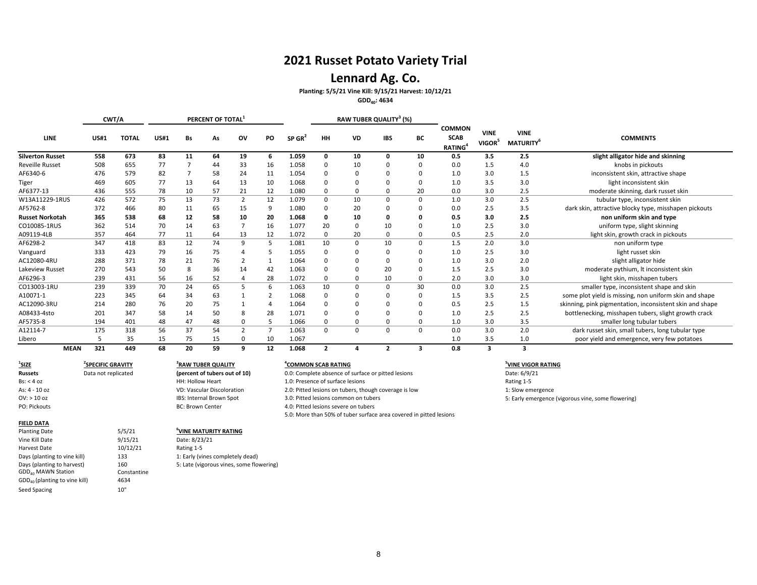### **Lennard Ag. Co.**

**Planting: 5/5/21 Vine Kill: 9/15/21 Harvest: 10/12/21**

**GDD40: 4634**

|                         |             | CWT/A       |              |             |    | PERCENT OF TOTAL <sup>3</sup> |                |                |       |                | RAW TUBER QUALITY <sup>3</sup> (%) |             |          |                                               |                             |                                             |                                                          |
|-------------------------|-------------|-------------|--------------|-------------|----|-------------------------------|----------------|----------------|-------|----------------|------------------------------------|-------------|----------|-----------------------------------------------|-----------------------------|---------------------------------------------|----------------------------------------------------------|
| <b>LINE</b>             |             | <b>US#1</b> | <b>TOTAL</b> | <b>US#1</b> | Bs | As                            | ov             | PO             | SP GR | HH             | <b>VD</b>                          | <b>IBS</b>  | BС       | <b>COMMON</b><br><b>SCAB</b><br><b>RATING</b> | <b>VINE</b><br><b>VIGOR</b> | <b>VINE</b><br><b>MATURITY</b> <sup>6</sup> | <b>COMMENTS</b>                                          |
| <b>Silverton Russet</b> |             | 558         | 673          | 83          | 11 | 64                            | 19             | 6              | 1.059 | $\mathbf 0$    | 10                                 | 0           | 10       | 0.5                                           | 3.5                         | 2.5                                         | slight alligator hide and skinning                       |
| <b>Reveille Russet</b>  |             | 508         | 655          | 77          |    | 44                            | 33             | 16             | 1.058 | 0              | 10                                 | $\mathbf 0$ |          | 0.0                                           | 1.5                         | 4.0                                         | knobs in pickouts                                        |
| AF6340-6                |             | 476         | 579          | 82          |    | 58                            | 24             | 11             | 1.054 | 0              | <sup>0</sup>                       | $\Omega$    |          | 1.0                                           | 3.0                         | 1.5                                         | inconsistent skin, attractive shape                      |
| Tiger                   |             | 469         | 605          | 77          | 13 | 64                            | 13             | 10             | 1.068 | $\mathbf 0$    |                                    | $\Omega$    | $\Omega$ | 1.0                                           | 3.5                         | 3.0                                         | light inconsistent skin                                  |
| AF6377-13               |             | 436         | 555          | 78          | 10 | 57                            | 21             | 12             | 1.080 | 0              | $\Omega$                           | $\mathbf 0$ | 20       | 0.0                                           | 3.0                         | 2.5                                         | moderate skinning, dark russet skin                      |
| W13A11229-1RUS          |             | 426         | 572          | 75          | 13 | 73                            | $\overline{2}$ | 12             | 1.079 | $\mathbf 0$    | 10                                 | $\Omega$    | $\Omega$ | 1.0                                           | 3.0                         | 2.5                                         | tubular type, inconsistent skin                          |
| AF5762-8                |             | 372         | 466          | 80          | 11 | 65                            | 15             | 9              | 1.080 | 0              | 20                                 | 0           |          | 0.0                                           | 2.5                         | 3.5                                         | dark skin, attractive blocky type, misshapen pickouts    |
| <b>Russet Norkotah</b>  |             | 365         | 538          | 68          | 12 | 58                            | 10             | 20             | 1.068 | 0              | 10                                 | 0           |          | 0.5                                           | 3.0                         | 2.5                                         | non uniform skin and type                                |
| CO10085-1RUS            |             | 362         | 514          | 70          | 14 | 63                            |                | 16             | 1.077 | 20             | $\Omega$                           | 10          |          | 1.0                                           | 2.5                         | 3.0                                         | uniform type, slight skinning                            |
| A09119-4LB              |             | 357         | 464          | 77          | 11 | 64                            | 13             | 12             | 1.072 | 0              | 20                                 | $\mathbf 0$ | $\Omega$ | 0.5                                           | 2.5                         | 2.0                                         | light skin, growth crack in pickouts                     |
| AF6298-2                |             | 347         | 418          | 83          | 12 | 74                            | 9              | -5             | 1.081 | 10             | $\Omega$                           | 10          | $\Omega$ | 1.5                                           | 2.0                         | 3.0                                         | non uniform type                                         |
| Vanguard                |             | 333         | 423          | 79          | 16 | 75                            |                | -5             | 1.055 | $\mathbf 0$    |                                    | $\Omega$    |          | 1.0                                           | 2.5                         | 3.0                                         | light russet skin                                        |
| AC12080-4RU             |             | 288         | 371          | 78          | 21 | 76                            | $\overline{2}$ | 1              | 1.064 | $\Omega$       |                                    | $\Omega$    | n        | 1.0                                           | 3.0                         | 2.0                                         | slight alligator hide                                    |
| Lakeview Russet         |             | 270         | 543          | 50          |    | 36                            | 14             | 42             | 1.063 | 0              |                                    | 20          |          | 1.5                                           | 2.5                         | 3.0                                         | moderate pythium, It inconsistent skin                   |
| AF6296-3                |             | 239         | 431          | 56          | 16 | 52                            | 4              | 28             | 1.072 | 0              |                                    | 10          | $\Omega$ | 2.0                                           | 3.0                         | 3.0                                         | light skin, misshapen tubers                             |
| CO13003-1RU             |             | 239         | 339          | 70          | 24 | 65                            | 5              | 6              | 1.063 | 10             | $\Omega$                           | $\Omega$    | 30       | 0.0                                           | 3.0                         | 2.5                                         | smaller type, inconsistent shape and skin                |
| A10071-1                |             | 223         | 345          | 64          | 34 | 63                            |                | 2              | 1.068 | 0              |                                    | 0           |          | 1.5                                           | 3.5                         | 2.5                                         | some plot yield is missing, non uniform skin and shape   |
| AC12090-3RU             |             | 214         | 280          | 76          | 20 | 75                            |                | 4              | 1.064 | 0              |                                    | $\Omega$    | $\Omega$ | 0.5                                           | 2.5                         | 1.5                                         | skinning, pink pigmentation, inconsistent skin and shape |
| A08433-4sto             |             | 201         | 347          | 58          | 14 | 50                            | 8              | 28             | 1.071 | $\Omega$       |                                    | $\Omega$    |          | 1.0                                           | 2.5                         | 2.5                                         | bottlenecking, misshapen tubers, slight growth crack     |
| AF5735-8                |             | 194         | 401          | 48          | 47 | 48                            | 0              | -5             | 1.066 | 0              |                                    | 0           | $\Omega$ | 1.0                                           | 3.0                         | 3.5                                         | smaller long tubular tubers                              |
| A12114-7                |             | 175         | 318          | 56          | 37 | 54                            | $\overline{2}$ | $\overline{7}$ | 1.063 | $\mathbf 0$    | $\mathbf 0$                        | $\mathbf 0$ | $\Omega$ | 0.0                                           | 3.0                         | 2.0                                         | dark russet skin, small tubers, long tubular type        |
| Libero                  |             | 5           | 35           | 15          | 75 | 15                            | 0              | 10             | 1.067 |                |                                    |             |          | 1.0                                           | 3.5                         | 1.0                                         | poor yield and emergence, very few potatoes              |
|                         | <b>MEAN</b> | 321         | 449          | 68          | 20 | 59                            | 9              | 12             | 1.068 | $\overline{2}$ |                                    | 2           | з        | 0.8                                           | 3                           | 3                                           |                                                          |

 $1$ **SIZE 2SPECIFIC GRAVITY 3RAWRussets**Bs: < 4As: 4 ‐ 10OV: > 10

### PO: Pickouts**FIELD DATA**

| <b>Planting Date</b>                      | 5/5/21      | <sup>b</sup> VINE MA |
|-------------------------------------------|-------------|----------------------|
| Vine Kill Date                            | 9/15/21     | Date: 8/23           |
| Harvest Date                              | 10/12/21    | Rating 1-5           |
| Days (planting to vine kill)              | 133         | 1: Early (v          |
| Days (planting to harvest)                | 160         | 5: Late (vi          |
| GDD <sub>40</sub> MAWN Station            | Constantine |                      |
| GDD <sub>40</sub> (planting to vine kill) | 4634        |                      |
| Seed Spacing                              | 10"         |                      |

Data not replicated

HH: Hollow Heart

**BC: Brown Center** 

Date: 8/23/21

133 1: Early (vines completely dead) 160 5: Late (vigorous vines, some flowering)

Planting Date 5/5/21 **6VINE MATURITY RATING**

VD: Vascular Discoloration

IBS: Internal Brown Spot

#### **TUBER QUALITY 4COMMON SCAB RATING 5VINE VIGOR RATING**

**(percent of tubers out of 10) 0.0: Complete absence of surface or pitted lesions** Date: 6/9/21 1.0: Presence of surface lesions Rating 1-5 2.0: Pitted lesions on tubers, though coverage is low 1: Slow emergence 3.0: Pitted lesions common on tubers 6: Early emergence (vigorous vine, some flowering) 4.0: Pitted lesions severe on tubers 5.0: More than 50% of tuber surface area covered in pitted lesions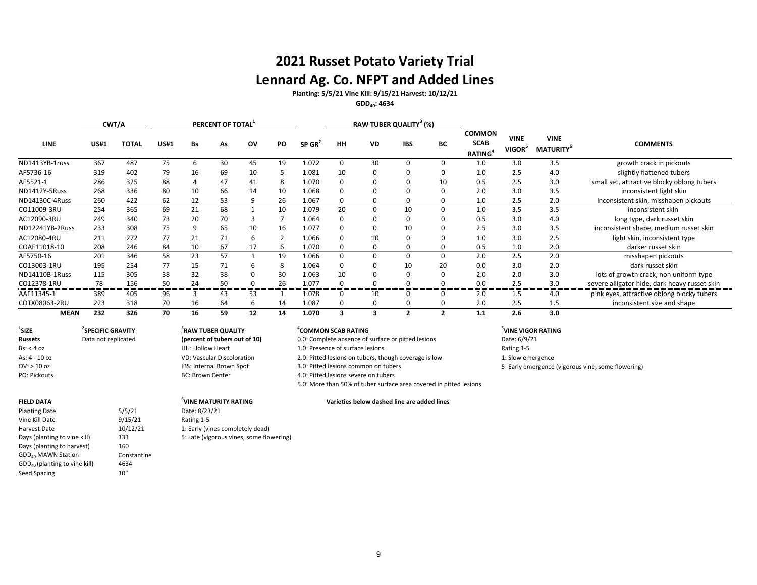# **2021 Russet Potato Variety Trial Lennard Ag. Co. NFPT and Added Lines**

**Planting: 5/5/21 Vine Kill: 9/15/21 Harvest: 10/12/21**

**GDD40: 4634**

|                 | CWT/A       |              |             |    | PERCENT OF TOTAL |             |    |                    | RAW TUBER QUALITY <sup>3</sup> (%) |           |            |          |                                                            |                                   |                                             |                                               |
|-----------------|-------------|--------------|-------------|----|------------------|-------------|----|--------------------|------------------------------------|-----------|------------|----------|------------------------------------------------------------|-----------------------------------|---------------------------------------------|-----------------------------------------------|
| <b>LINE</b>     | <b>US#1</b> | <b>TOTAL</b> | <b>US#1</b> | Bs | As               | <b>OV</b>   | PO | SP GR <sup>4</sup> | <b>HH</b>                          | <b>VD</b> | <b>IBS</b> | ВC       | <b>COMMON</b><br><b>SCAB</b><br><b>RATING</b> <sup>4</sup> | <b>VINE</b><br>VIGOR <sup>5</sup> | <b>VINE</b><br><b>MATURITY</b> <sup>6</sup> | <b>COMMENTS</b>                               |
| ND1413YB-1russ  | 367         | 487          | 75          | 6  | 30               | 45          | 19 | 1.072              | $\Omega$                           | 30        |            | 0        | 1.0                                                        | 3.0                               | 3.5                                         | growth crack in pickouts                      |
| AF5736-16       | 319         | 402          | 79          | 16 | 69               | 10          |    | 1.081              | 10                                 |           |            | 0        | 1.0                                                        | 2.5                               | 4.0                                         | slightly flattened tubers                     |
| AF5521-1        | 286         | 325          | 88          | 4  | 47               | 41          |    | 1.070              |                                    |           |            | 10       | 0.5                                                        | 2.5                               | 3.0                                         | small set, attractive blocky oblong tubers    |
| ND1412Y-5Russ   | 268         | 336          | 80          | 10 | 66               | 14          | 10 | 1.068              |                                    |           |            | $\Omega$ | 2.0                                                        | 3.0                               | 3.5                                         | inconsistent light skin                       |
| ND14130C-4Russ  | 260         | 422          | 62          | 12 | 53               | 9           | 26 | 1.067              | 0                                  |           |            | 0        | 1.0                                                        | 2.5                               | 2.0                                         | inconsistent skin, misshapen pickouts         |
| CO11009-3RU     | 254         | 365          | 69          | 21 | 68               |             | 10 | 1.079              | 20                                 |           | 10         | 0        | 1.0                                                        | 3.5                               | 3.5                                         | inconsistent skin                             |
| AC12090-3RU     | 249         | 340          | 73          | 20 | 70               | 3           |    | 1.064              |                                    |           |            | 0        | 0.5                                                        | 3.0                               | 4.0                                         | long type, dark russet skin                   |
| ND12241YB-2Russ | 233         | 308          | 75          | 9  | 65               | 10          | 16 | 1.077              |                                    |           | 10         | 0        | 2.5                                                        | 3.0                               | 3.5                                         | inconsistent shape, medium russet skin        |
| AC12080-4RU     | 211         | 272          | 77          | 21 | 71               | 6           |    | 1.066              |                                    | 10        |            | 0        | 1.0                                                        | 3.0                               | 2.5                                         | light skin, inconsistent type                 |
| COAF11018-10    | 208         | 246          | 84          | 10 | 67               | 17          | 6  | 1.070              |                                    |           |            | 0        | 0.5                                                        | 1.0                               | 2.0                                         | darker russet skin                            |
| AF5750-16       | 201         | 346          | 58          | 23 | 57               |             | 19 | 1.066              | 0                                  |           |            | $\Omega$ | 2.0                                                        | 2.5                               | 2.0                                         | misshapen pickouts                            |
| CO13003-1RU     | 195         | 254          | 77          | 15 | 71               | 6           | 8  | 1.064              | $\Omega$                           |           | 10         | 20       | 0.0                                                        | 3.0                               | 2.0                                         | dark russet skin                              |
| ND14110B-1Russ  | 115         | 305          | 38          | 32 | 38               | $\Omega$    | 30 | 1.063              | 10                                 |           |            | 0        | 2.0                                                        | 2.0                               | 3.0                                         | lots of growth crack, non uniform type        |
| CO12378-1RU     | 78          | 156          | 50          | 24 | 50               | $\mathbf 0$ | 26 | 1.077              | $\Omega$                           |           |            | $\Omega$ | 0.0                                                        | 2.5                               | 3.0                                         | severe alligator hide, dark heavy russet skin |
| AAF11345-1      | 389         | 405          | 96          | 3  | 43               | 53          |    | 1.078              | $\Omega$                           | 10        |            | $\Omega$ | 2.0                                                        | 1.5                               | 4.0                                         | pink eyes, attractive oblong blocky tubers    |
| COTX08063-2RU   | 223         | 318          | 70          | 16 | 64               | 6           | 14 | 1.087              | $\Omega$                           |           |            | $\Omega$ | 2.0                                                        | 2.5                               | 1.5                                         | inconsistent size and shape                   |
| <b>MEAN</b>     | 232         | 326          | 70          | 16 | 59               | 12          | 14 | 1.070              |                                    |           |            | 2        | 1.1                                                        | 2.6                               | 3.0                                         |                                               |

**1SIZE 2SPECIFIC GRAVITY 3RAWRussets**Bs: < 4As: 4 ‐ 10OV: > 10PO: Pickouts

#### **FIELD**

Vine Kill Date Harvest DateDays (planting to harvest) 160  $\mathsf{GDD}_{40}$  (planting to vine kill)  $4634$ Seed Spacing and the second second second second second second second second second second second second second

#### **TUBER QUALITY 4COMMON SCAB RATING 5VINE VIGOR RATING**

**(percent of tubers out of 10) 0.0: Complete absence of surface or pitted lesions** Date: 6/9/21 1.0: Presence of surface lesions Rating 1-5

2.0: Pitted lesions on tubers, though coverage is low 1: Slow emergence

4.0: Pitted lesions severe on tubers

5.0: More than 50% of tuber surface area covered in pitted lesions

**dashed line are added lines**

3.0: Pitted lesions common on tubers 6: Early emergence (vigorous vine, some flowering)

Planting Date 6/23/21 Date: 8/23/21 9/15/21 Rating 1-5 10/12/21 1: Early (vines completely dead) Days (planting to vine kill) 133 5: Late (vigorous vines, some flowering) GDD<sub>40</sub> MAWN Station **Constantine** 

Data not replicated

HH: Hollow Heart

**BC: Brown Center** 

VD: Vascular Discoloration

 $6$ VINE MATURITY RATING

IBS: Internal Brown Spot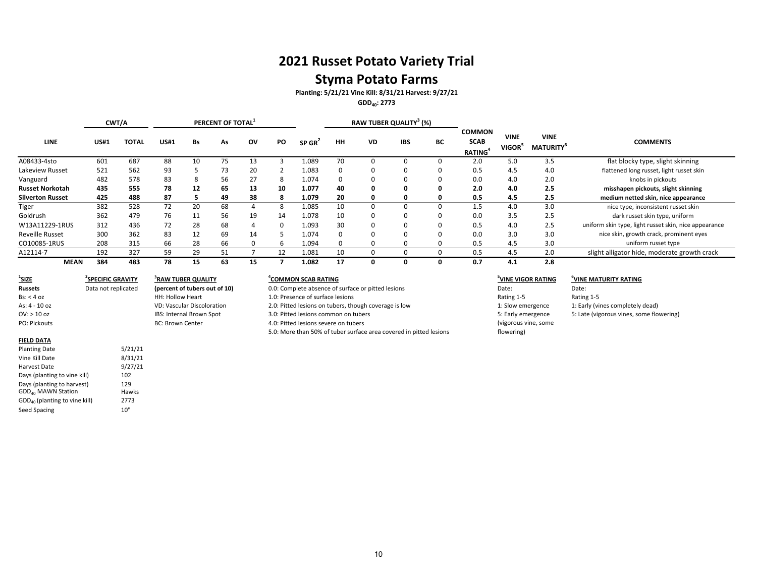# **Styma Potato Farms**

**Planting: 5/21/21 Vine Kill: 8/31/21 Harvest: 9/27/21**

**GDD40: 2773**

|                         |             | CWT/A |             |    | PERCENT OF TOTAL <sup>1</sup> |    |           |                    |    | RAW TUBER QUALITY <sup>3</sup> (%) |            |    |                                                            |                                   |                                             |                                                       |
|-------------------------|-------------|-------|-------------|----|-------------------------------|----|-----------|--------------------|----|------------------------------------|------------|----|------------------------------------------------------------|-----------------------------------|---------------------------------------------|-------------------------------------------------------|
| <b>LINE</b>             | <b>US#1</b> | TOTAL | <b>US#1</b> | Bs | As                            | ov | <b>PO</b> | SP GR <sup>2</sup> | HH | VD                                 | <b>IBS</b> | ВC | <b>COMMON</b><br><b>SCAB</b><br><b>RATING</b> <sup>4</sup> | <b>VINE</b><br>VIGOR <sup>5</sup> | <b>VINE</b><br><b>MATURITY</b> <sup>b</sup> | <b>COMMENTS</b>                                       |
| A08433-4sto             | 601         | 687   | 88          | 10 | 75                            | 13 |           | 1.089              | 70 |                                    | 0          |    | 2.0                                                        | 5.0                               | 3.5                                         | flat blocky type, slight skinning                     |
| Lakeview Russet         | 521         | 562   | 93          |    | 73                            | 20 |           | 1.083              |    |                                    | 0          | 0  | 0.5                                                        | 4.5                               | 4.0                                         | flattened long russet, light russet skin              |
| Vanguard                | 482         | 578   | 83          | 8  | 56                            | 27 | 8         | 1.074              |    |                                    | 0          |    | 0.0                                                        | 4.0                               | 2.0                                         | knobs in pickouts                                     |
| <b>Russet Norkotah</b>  | 435         | 555   | 78          | 12 | 65                            | 13 | 10        | 1.077              | 40 | 0                                  | 0          | 0  | 2.0                                                        | 4.0                               | 2.5                                         | misshapen pickouts, slight skinning                   |
| <b>Silverton Russet</b> | 425         | 488   | 87          |    | 49                            | 38 | 8         | 1.079              | 20 | 0                                  | 0          | 0  | 0.5                                                        | 4.5                               | 2.5                                         | medium netted skin, nice appearance                   |
| Tiger                   | 382         | 528   | 72          | 20 | 68                            | 4  | 8         | 1.085              | 10 |                                    | 0          | 0  | 1.5                                                        | 4.0                               | 3.0                                         | nice type, inconsistent russet skin                   |
| Goldrush                | 362         | 479   | 76          | 11 | 56                            | 19 | 14        | 1.078              | 10 |                                    | 0          | 0  | 0.0                                                        | 3.5                               | 2.5                                         | dark russet skin type, uniform                        |
| W13A11229-1RUS          | 312         | 436   | 72          | 28 | 68                            | 4  | 0         | 1.093              | 30 |                                    | 0          | 0  | 0.5                                                        | 4.0                               | 2.5                                         | uniform skin type, light russet skin, nice appearance |
| <b>Reveille Russet</b>  | 300         | 362   | 83          | 12 | 69                            | 14 |           | 1.074              |    |                                    | 0          | 0  | 0.0                                                        | 3.0                               | 3.0                                         | nice skin, growth crack, prominent eyes               |
| CO10085-1RUS            | 208         | 315   | 66          | 28 | 66                            | 0  | 6         | 1.094              |    |                                    | 0          |    | 0.5                                                        | 4.5                               | 3.0                                         | uniform russet type                                   |
| A12114-7                | 192         | 327   | 59          | 29 | 51                            |    | 12        | 1.081              | 10 | $\mathbf{U}$                       | 0          | 0  | 0.5                                                        | 4.5                               | 2.0                                         | slight alligator hide, moderate growth crack          |
| <b>MEAN</b>             | 384         | 483   | 78          | 15 | 63                            | 15 |           | 1.082              | 17 |                                    | 0          | 0  | 0.7                                                        | 4.1                               | 2.8                                         |                                                       |

| <sup>1</sup> SIZE   | <sup>2</sup> SPECIFIC GRAVITY | <sup>3</sup> RAW TUBER QUALITY    |
|---------------------|-------------------------------|-----------------------------------|
| <b>Russets</b>      | Data not replicated           | (percent of tubers out of 10)     |
| $\text{Bs}:$ < 4 oz |                               | <b>HH: Hollow Heart</b>           |
| As: $4 - 10$ oz     |                               | <b>VD: Vascular Discoloration</b> |
| OV: > 10 oz         |                               | IBS: Internal Brown Spot          |
| PO: Pickouts        |                               | <b>BC: Brown Center</b>           |
|                     |                               |                                   |

#### **FIELD DATA**

| <b>Planting Date</b>               | 5/21/21 |
|------------------------------------|---------|
| Vine Kill Date                     | 8/31/21 |
| Harvest Date                       | 9/27/21 |
| Days (planting to vine kill)       | 102     |
| Days (planting to harvest)         | 129     |
| GDD <sub>40</sub> MAWN Station     | Hawks   |
| $GDD_{40}$ (planting to vine kill) | 2773    |
| <b>Seed Spacing</b>                | 10"     |

### **<u><sup>4</sup>COMMON SCAB RATING</u>**

0.0: Complete absence of surface or pitted lesions and particle absence of surface or pitted lesions Date: Date: 1.0: Presence of surface lesions and the set of surface lesions Rating 1-5 Rating 1-5 Rating 1-5 2.0: Pitted lesions on tubers, though coverage is low 1: Slow emergence 1: Early (vines completely dead) 3.0: Pitted lesions common on tubers 6.0: Pitted lesions common on tubers 5: Late (vigorous vines, some flowering) 4.0: Pitted lesions severe on tubers 5.0: More than 50% of tuber surface area covered in pitted lesions

# **SCAB RATING 5VINE VIGOR RATING 6VINE MATURITY RATING** 5: Early emergence (vigorous vine, some flowering)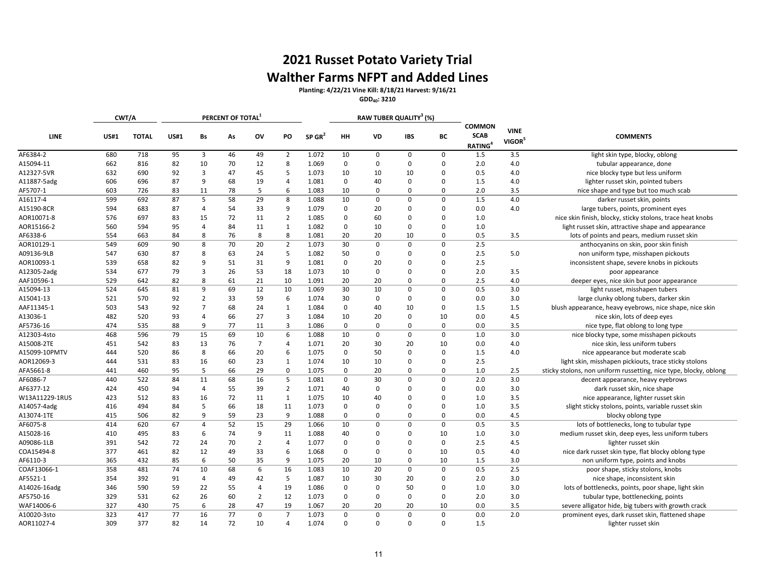# **2021 Russet Potato Variety Trial Walther Farms NFPT and Added Lines**

**Planting: 4/22/21 Vine Kill: 8/18/21 Harvest: 9/16/21**

**GDD40: 3210**

|                |             | CWT/A        |             |                | PERCENT OF TOTAL <sup>1</sup> |                |                |                      |             | RAW TUBER QUALITY <sup>3</sup> (%) |             |             |                                                     |                                   |                                                                   |
|----------------|-------------|--------------|-------------|----------------|-------------------------------|----------------|----------------|----------------------|-------------|------------------------------------|-------------|-------------|-----------------------------------------------------|-----------------------------------|-------------------------------------------------------------------|
| <b>LINE</b>    | <b>US#1</b> | <b>TOTAL</b> | <b>US#1</b> | Bs             | As                            | ov             | PO             | $SP$ GR <sup>2</sup> | HH          | VD                                 | <b>IBS</b>  | BС          | <b>COMMON</b><br><b>SCAB</b><br>RATING <sup>4</sup> | <b>VINE</b><br>VIGOR <sup>5</sup> | <b>COMMENTS</b>                                                   |
| AF6384-2       | 680         | 718          | 95          | 3              | 46                            | 49             | $\overline{2}$ | 1.072                | 10          | $\mathbf 0$                        | $\mathbf 0$ | 0           | 1.5                                                 | 3.5                               | light skin type, blocky, oblong                                   |
| A15094-11      | 662         | 816          | 82          | 10             | 70                            | 12             | 8              | 1.069                | $\mathbf 0$ | $\mathbf 0$                        | $\mathbf 0$ | $\Omega$    | 2.0                                                 | 4.0                               | tubular appearance, done                                          |
| A12327-5VR     | 632         | 690          | 92          | $\overline{3}$ | 47                            | 45             | 5              | 1.073                | 10          | 10                                 | 10          | $\Omega$    | 0.5                                                 | 4.0                               | nice blocky type but less uniform                                 |
| A11887-5adg    | 606         | 696          | 87          | 9              | 68                            | 19             | $\overline{4}$ | 1.081                | $\mathbf 0$ | 40                                 | $\mathbf 0$ | $\Omega$    | 1.5                                                 | 4.0                               | lighter russet skin, pointed tubers                               |
| AF5707-1       | 603         | 726          | 83          | 11             | 78                            | 5              | 6              | 1.083                | 10          | $\mathbf 0$                        | $\mathbf 0$ | $\Omega$    | 2.0                                                 | 3.5                               | nice shape and type but too much scab                             |
| A16117-4       | 599         | 692          | 87          | 5              | 58                            | 29             | 8              | 1.088                | 10          | $\mathbf 0$                        | $\mathbf 0$ | $\Omega$    | 1.5                                                 | 4.0                               | darker russet skin, points                                        |
| A15190-8CR     | 594         | 683          | 87          | $\overline{4}$ | 54                            | 33             | 9              | 1.079                | 0           | 20                                 | $\Omega$    | $\Omega$    | 0.0                                                 | 4.0                               | large tubers, points, prominent eyes                              |
| AOR10071-8     | 576         | 697          | 83          | 15             | 72                            | 11             | $\overline{2}$ | 1.085                | $\Omega$    | 60                                 | $\Omega$    | $\Omega$    | 1.0                                                 |                                   | nice skin finish, blocky, sticky stolons, trace heat knobs        |
| AOR15166-2     | 560         | 594          | 95          | $\Delta$       | 84                            | 11             | $\mathbf{1}$   | 1.082                | $\Omega$    | 10                                 | $\Omega$    | $\Omega$    | 1.0                                                 |                                   | light russet skin, attractive shape and appearance                |
| AF6338-6       | 554         | 663          | 84          | 8              | 76                            | 8              | 8              | 1.081                | 20          | 20                                 | 10          | $\Omega$    | 0.5                                                 | 3.5                               | lots of points and pears, medium russet skin                      |
| AOR10129-1     | 549         | 609          | 90          | 8              | 70                            | 20             | $\overline{2}$ | 1.073                | 30          | $\mathbf 0$                        | $\mathbf 0$ | $\mathbf 0$ | 2.5                                                 |                                   | anthocyanins on skin, poor skin finish                            |
| A09136-9LB     | 547         | 630          | 87          | 8              | 63                            | 24             | 5              | 1.082                | 50          | $\mathbf 0$                        | $\Omega$    | $\Omega$    | 2.5                                                 | 5.0                               | non uniform type, misshapen pickouts                              |
| AOR10093-1     | 539         | 658          | 82          | q              | 51                            | 31             | 9              | 1.081                | $\mathbf 0$ | 20                                 | $\Omega$    | $\Omega$    | 2.5                                                 |                                   | inconsistent shape, severe knobs in pickouts                      |
| A12305-2adg    | 534         | 677          | 79          | 3              | 26                            | 53             | 18             | 1.073                | 10          | $\Omega$                           | $\Omega$    | $\Omega$    | 2.0                                                 | 3.5                               | poor appearance                                                   |
| AAF10596-1     | 529         | 642          | 82          | $\mathbf{8}$   | 61                            | 21             | 10             | 1.091                | 20          | 20                                 | $\Omega$    | $\Omega$    | 2.5                                                 | 4.0                               | deeper eyes, nice skin but poor appearance                        |
| A15094-13      | 524         | 645          | 81          | 9              | 69                            | 12             | 10             | 1.069                | 30          | 10                                 | $\Omega$    | $\Omega$    | 0.5                                                 | 3.0                               | light russet, misshapen tubers                                    |
| A15041-13      | 521         | 570          | 92          | 2              | 33                            | 59             | 6              | 1.074                | 30          | $\mathbf 0$                        | $\Omega$    | $\Omega$    | 0.0                                                 | 3.0                               | large clunky oblong tubers, darker skin                           |
| AAF11345-1     | 503         | 543          | 92          | $\overline{7}$ | 68                            | 24             | $\mathbf{1}$   | 1.084                | $\mathbf 0$ | 40                                 | 10          | $\Omega$    | 1.5                                                 | 1.5                               | blush appearance, heavy eyebrows, nice shape, nice skin           |
| A13036-1       | 482         | 520          | 93          | $\overline{4}$ | 66                            | 27             | 3              | 1.084                | 10          | 20                                 | $\mathbf 0$ | 10          | 0.0                                                 | 4.5                               | nice skin, lots of deep eyes                                      |
| AF5736-16      | 474         | 535          | 88          | q              | 77                            | 11             | 3              | 1.086                | $\mathbf 0$ | $\mathbf 0$                        | $\Omega$    | $\Omega$    | 0.0                                                 | 3.5                               | nice type, flat oblong to long type                               |
| A12303-4sto    | 468         | 596          | 79          | 15             | 69                            | 10             | 6              | 1.088                | 10          | $\mathbf 0$                        | $\mathbf 0$ | $\Omega$    | 1.0                                                 | 3.0                               | nice blocky type, some misshapen pickouts                         |
| A15008-2TE     | 451         | 542          | 83          | 13             | 76                            | $\overline{7}$ | 4              | 1.071                | 20          | 30                                 | 20          | 10          | 0.0                                                 | 4.0                               | nice skin, less uniform tubers                                    |
| A15099-10PMTV  | 444         | 520          | 86          | 8              | 66                            | 20             | 6              | 1.075                | $\mathbf 0$ | 50                                 | $\Omega$    | $\Omega$    | 1.5                                                 | 4.0                               | nice appearance but moderate scab                                 |
| AOR12069-3     | 444         | 531          | 83          | 16             | 60                            | 23             | $\mathbf{1}$   | 1.074                | 10          | 10                                 | $\Omega$    | $\Omega$    | 2.5                                                 |                                   | light skin, misshapen pickiouts, trace sticky stolons             |
| AFA5661-8      | 441         | 460          | 95          | 5              | 66                            | 29             | $\mathbf 0$    | 1.075                | $\mathbf 0$ | 20                                 | $\Omega$    | $\Omega$    | 1.0                                                 | 2.5                               | sticky stolons, non uniform russetting, nice type, blocky, oblong |
| AF6086-7       | 440         | 522          | 84          | 11             | 68                            | 16             | 5              | 1.081                | $\mathbf 0$ | 30                                 | $\mathbf 0$ | $\Omega$    | 2.0                                                 | 3.0                               | decent appearance, heavy eyebrows                                 |
| AF6377-12      | 424         | 450          | 94          | 4              | 55                            | 39             | $\overline{2}$ | 1.071                | 40          | 0                                  | $\mathbf 0$ | $\Omega$    | 0.0                                                 | 3.0                               | dark russet skin, nice shape                                      |
| W13A11229-1RUS | 423         | 512          | 83          | 16             | 72                            | 11             | $\mathbf{1}$   | 1.075                | 10          | 40                                 | $\Omega$    | $\Omega$    | 1.0                                                 | 3.5                               | nice appearance, lighter russet skin                              |
| A14057-4adg    | 416         | 494          | 84          | 5              | 66                            | 18             | 11             | 1.073                | $\mathbf 0$ | 0                                  | $\Omega$    | $\Omega$    | 1.0                                                 | 3.5                               | slight sticky stolons, points, variable russet skin               |
| A13074-1TE     | 415         | 506          | 82          | q              | 59                            | 23             | 9              | 1.088                | $\mathbf 0$ | O                                  | $\Omega$    | $\Omega$    | 0.0                                                 | 4.5                               | blocky oblong type                                                |
| AF6075-8       | 414         | 620          | 67          | $\overline{a}$ | 52                            | 15             | 29             | 1.066                | 10          | 0                                  | $\Omega$    | $\mathbf 0$ | 0.5                                                 | 3.5                               | lots of bottlenecks, long to tubular type                         |
| A15028-16      | 410         | 495          | 83          | 6              | 74                            | 9              | 11             | 1.088                | 40          | 0                                  | $\Omega$    | 10          | 1.0                                                 | 3.0                               | medium russet skin, deep eyes, less uniform tubers                |
| A09086-1LB     | 391         | 542          | 72          | 24             | 70                            | $\overline{2}$ | $\overline{4}$ | 1.077                | $\mathbf 0$ | 0                                  | $\Omega$    | $\mathbf 0$ | 2.5                                                 | 4.5                               | lighter russet skin                                               |
| COA15494-8     | 377         | 461          | 82          | 12             | 49                            | 33             | 6              | 1.068                | $\mathbf 0$ | 0                                  | $\Omega$    | 10          | 0.5                                                 | 4.0                               | nice dark russet skin type, flat blocky oblong type               |
| AF6110-3       | 365         | 432          | 85          | 6              | 50                            | 35             | 9              | 1.075                | 20          | 10                                 | $\mathbf 0$ | 10          | 1.5                                                 | 3.0                               | non uniform type, points and knobs                                |
| COAF13066-1    | 358         | 481          | 74          | 10             | 68                            | 6              | 16             | 1.083                | 10          | 20                                 | $\mathbf 0$ | 0           | 0.5                                                 | 2.5                               | poor shape, sticky stolons, knobs                                 |
| AF5521-1       | 354         | 392          | 91          | $\overline{4}$ | 49                            | 42             | 5              | 1.087                | 10          | 30                                 | 20          | $\Omega$    | 2.0                                                 | 3.0                               | nice shape, inconsistent skin                                     |
| A14026-16adg   | 346         | 590          | 59          | 22             | 55                            | $\overline{a}$ | 19             | 1.086                | $\Omega$    | $\Omega$                           | 50          | $\Omega$    | 1.0                                                 | 3.0                               | lots of bottlenecks, points, poor shape, light skin               |
| AF5750-16      | 329         | 531          | 62          | 26             | 60                            | $\overline{2}$ | 12             | 1.073                | $\mathbf 0$ | $\Omega$                           | $\Omega$    | $\Omega$    | 2.0                                                 | 3.0                               | tubular type, bottlenecking, points                               |
| WAF14006-6     | 327         | 430          | 75          | 6              | 28                            | 47             | 19             | 1.067                | 20          | 20                                 | 20          | 10          | 0.0                                                 | 3.5                               | severe alligator hide, big tubers with growth crack               |
| A10020-3sto    | 323         | 417          | 77          | 16             | 77                            | $\mathbf 0$    | $\overline{7}$ | 1.073                | $\mathbf 0$ | $\mathbf 0$                        | $\mathbf 0$ | 0           | 0.0                                                 | 2.0                               | prominent eyes, dark russet skin, flattened shape                 |
| AOR11027-4     | 309         | 377          | 82          | 14             | 72                            | 10             | $\overline{4}$ | 1.074                | $\mathbf 0$ | 0                                  | $\Omega$    | $\Omega$    | 1.5                                                 |                                   | lighter russet skin                                               |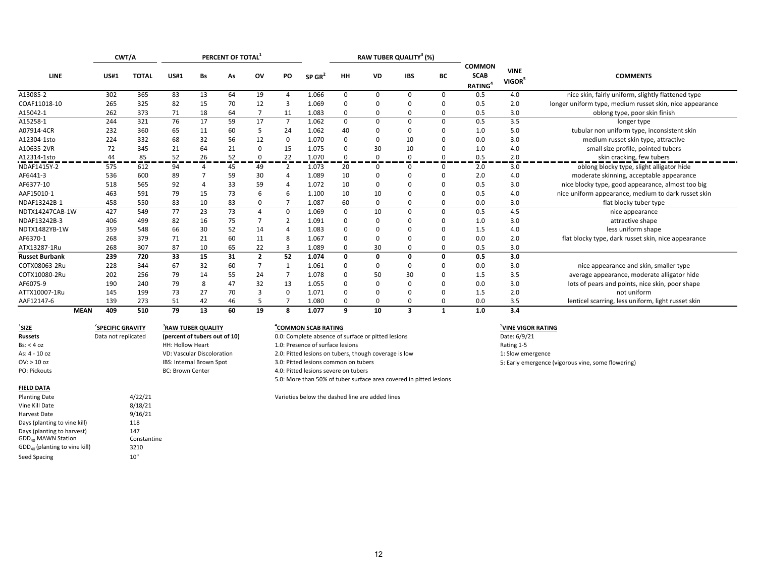| CWT/A                 |             |              |             |    | PERCENT OF TOTAL |                |                |        |             |              | RAW TUBER QUALITY <sup>3</sup> (%) |             |                                                     |                                   |                                                          |
|-----------------------|-------------|--------------|-------------|----|------------------|----------------|----------------|--------|-------------|--------------|------------------------------------|-------------|-----------------------------------------------------|-----------------------------------|----------------------------------------------------------|
| <b>LINE</b>           | <b>US#1</b> | <b>TOTAL</b> | <b>US#1</b> | Bs | As               | ov             | PO             | SP GR' | <b>HH</b>   | VD           | <b>IBS</b>                         | BC          | <b>COMMON</b><br><b>SCAB</b><br>RATING <sup>4</sup> | <b>VINE</b><br>VIGOR <sup>5</sup> | <b>COMMENTS</b>                                          |
| A13085-2              | 302         | 365          | 83          | 13 | 64               | 19             | Δ              | 1.066  | 0           | 0            | $\Omega$                           | 0           | 0.5                                                 | 4.0                               | nice skin, fairly uniform, slightly flattened type       |
| COAF11018-10          | 265         | 325          | 82          | 15 | 70               | 12             | 3              | 1.069  | $\Omega$    | O            | $\Omega$                           | $\Omega$    | 0.5                                                 | 2.0                               | longer uniform type, medium russet skin, nice appearance |
| A15042-1              | 262         | 373          | 71          | 18 | 64               |                | 11             | 1.083  | $\Omega$    | 0            | $\Omega$                           | $\Omega$    | 0.5                                                 | 3.0                               | oblong type, poor skin finish                            |
| A15258-1              | 244         | 321          | 76          | 17 | 59               | 17             | $\overline{7}$ | 1.062  | 0           | $\Omega$     | $\Omega$                           | 0           | 0.5                                                 | 3.5                               | longer type                                              |
| A07914-4CR            | 232         | 360          | 65          | 11 | 60               | -5             | 24             | 1.062  | 40          | 0            | $\Omega$                           | $\Omega$    | 1.0                                                 | 5.0                               | tubular non uniform type, inconsistent skin              |
| A12304-1sto           | 224         | 332          | 68          | 32 | 56               | 12             | 0              | 1.070  | $\mathbf 0$ | 0            | 10                                 | $\Omega$    | 0.0                                                 | 3.0                               | medium russet skin type, attractive                      |
| A10635-2VR            | 72          | 345          | 21          | 64 | 21               | $\Omega$       | 15             | 1.075  | $\Omega$    | 30           | 10                                 | $\Omega$    | 1.0                                                 | 4.0                               | small size profile, pointed tubers                       |
| A12314-1sto           | 44          | 85           | 52          | 26 | 52               | $\mathbf{0}$   | 22             | 1.070  | $\mathbf 0$ | $\Omega$     | $\Omega$                           | $\Omega$    | 0.5                                                 | 2.0                               | skin cracking, few tubers                                |
| NDAF1415Y-2           | 575         | 612          | 94          | 4  | 45               | 49             | 2              | 1.073  | 20          | 0            | 0                                  | 0           | 2.0                                                 | 3.0                               | oblong blocky type, slight alligator hide                |
| AF6441-3              | 536         | 600          | 89          |    | 59               | 30             | 4              | 1.089  | 10          | 0            | 0                                  | $\Omega$    | 2.0                                                 | 4.0                               | moderate skinning, acceptable appearance                 |
| AF6377-10             | 518         | 565          | 92          |    | 33               | 59             | 4              | 1.072  | 10          | $\Omega$     | $\Omega$                           | $\Omega$    | 0.5                                                 | 3.0                               | nice blocky type, good appearance, almost too big        |
| AAF15010-1            | 463         | 591          | 79          | 15 | 73               | -6             | 6              | 1.100  | 10          | 10           | $\Omega$                           | $\Omega$    | 0.5                                                 | 4.0                               | nice uniform appearance, medium to dark russet skin      |
| NDAF13242B-1          | 458         | 550          | 83          | 10 | 83               | 0              | 7              | 1.087  | 60          | 0            | 0                                  | 0           | 0.0                                                 | 3.0                               | flat blocky tuber type                                   |
| NDTX14247CAB-1W       | 427         | 549          | 77          | 23 | 73               | $\overline{a}$ | 0              | 1.069  | 0           | 10           | $\Omega$                           | 0           | 0.5                                                 | 4.5                               | nice appearance                                          |
| NDAF13242B-3          | 406         | 499          | 82          | 16 | 75               |                | $\overline{2}$ | 1.091  | $\mathbf 0$ |              | 0                                  | $\Omega$    | 1.0                                                 | 3.0                               | attractive shape                                         |
| NDTX1482YB-1W         | 359         | 548          | 66          | 30 | 52               | 14             | Δ              | 1.083  | $\Omega$    |              | $\Omega$                           | $\Omega$    | 1.5                                                 | 4.0                               | less uniform shape                                       |
| AF6370-1              | 268         | 379          | 71          | 21 | 60               | 11             | 8              | 1.067  | $\Omega$    |              | O                                  | $\Omega$    | 0.0                                                 | 2.0                               | flat blocky type, dark russet skin, nice appearance      |
| ATX13287-1Ru          | 268         | 307          | 87          | 10 | 65               | 22             | 3              | 1.089  | 0           | 30           | 0                                  | 0           | 0.5                                                 | 3.0                               |                                                          |
| <b>Russet Burbank</b> | 239         | 720          | 33          | 15 | 31               | $\overline{2}$ | 52             | 1.074  | 0           | $\mathbf 0$  | 0                                  | $\mathbf 0$ | 0.5                                                 | 3.0                               |                                                          |
| COTX08063-2Ru         | 228         | 344          | 67          | 32 | 60               | 7              | -1             | 1.061  | $\Omega$    | <sup>0</sup> | $\Omega$                           | $\Omega$    | 0.0                                                 | 3.0                               | nice appearance and skin, smaller type                   |
| COTX10080-2Ru         | 202         | 256          | 79          | 14 | 55               | 24             |                | 1.078  | 0           | 50           | 30                                 | $\Omega$    | 1.5                                                 | 3.5                               | average appearance, moderate alligator hide              |
| AF6075-9              | 190         | 240          | 79          | 8  | 47               | 32             | 13             | 1.055  | $\Omega$    | $\Omega$     | $\Omega$                           | $\Omega$    | 0.0                                                 | 3.0                               | lots of pears and points, nice skin, poor shape          |
| ATTX10007-1Ru         | 145         | 199          | 73          | 27 | 70               | 3              | 0              | 1.071  | $\mathbf 0$ | O            | $\Omega$                           | 0           | 1.5                                                 | 2.0                               | not uniform                                              |
| AAF12147-6            | 139         | 273          | 51          | 42 | 46               |                | $\overline{7}$ | 1.080  | $\Omega$    | O            | O                                  | $\Omega$    | 0.0                                                 | 3.5                               | lenticel scarring, less uniform, light russet skin       |
| <b>MEAN</b>           | 409         | 510          | 79          | 13 | 60               | 19             | 8              | 1.077  | 9           | 10           | 3                                  | 1           | 1.0                                                 | 3.4                               |                                                          |

 $1$ **SIZE 2SPECIFIC GRAVITY 3RAWRussets**Bs: < 4As: 4 ‐ 10OV: > 10PO: Pickouts

### **FIELD DATA** Vine Kill Date 8/18/21 Harvest DateDays (planting to vine kill) 118 Days (planting to harvest) 147 GDD40 MAWN Station Constantine  $\mathsf{GDD}_{40}$  (planting to vine kill) 3210 Seed Spacing and the control of the 10"

Data not replicated

9/16/21

HH: Hollow Heart

**BC: Brown Center** 

VD: Vascular Discoloration

IBS: Internal Brown Spot

**TUBER QUALITY 4COMMON SCAB RATING 5VINE VIGOR RATING**

**(percent of tubers out of 10) 0.0: Complete absence of surface or pitted lesions** Date: 6/9/21 1.0: Presence of surface lesions Rating 1-5 2.0: Pitted lesions on tubers, though coverage is low 1: Slow emergence 3.0: Pitted lesions common on tubers 6.0: Pitted lesions common on tubers 5: Early emergence (vigorous vine, some flowering) 4.0: Pitted lesions severe on tubers 5.0: More than 50% of tuber surface area covered in pitted lesions

Planting Date **4/22/21** 4/22/21 Varieties below the dashed line are added lines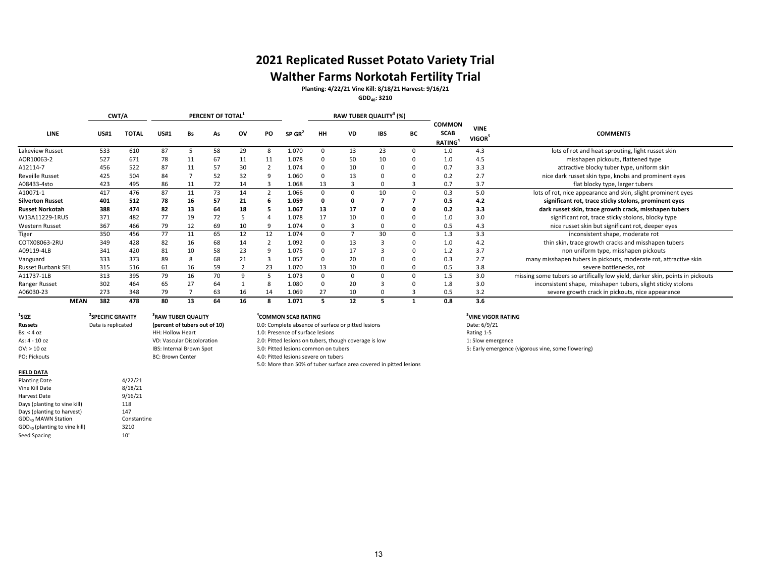# **2021 Replicated Russet Potato Variety Trial**

## **Walther Farms Norkotah Fertility Trial**

**Planting: 4/22/21 Vine Kill: 8/18/21 Harvest: 9/16/21**

**GDD40: 3210**

|                           |             | CWT/A        |             |    | PERCENT OF TOTAL |    |    |                    |    |    | RAW TUBER QUALITY <sup>3</sup> (%) |    |                                                            |                                   |                                                                               |  |  |
|---------------------------|-------------|--------------|-------------|----|------------------|----|----|--------------------|----|----|------------------------------------|----|------------------------------------------------------------|-----------------------------------|-------------------------------------------------------------------------------|--|--|
| <b>LINE</b>               | <b>US#1</b> | <b>TOTAL</b> | <b>US#1</b> | Bs | As               | ov | PO | SP GR <sup>2</sup> | HH | VD | <b>IBS</b>                         | BC | <b>COMMON</b><br><b>SCAB</b><br><b>RATING</b> <sup>4</sup> | <b>VINE</b><br>VIGOR <sup>5</sup> | <b>COMMENTS</b>                                                               |  |  |
| Lakeview Russet           | 533         | 610          | 87          |    | 58               | 29 | 8  | 1.070              |    | 13 | 23                                 |    | 1.0                                                        | 4.3                               | lots of rot and heat sprouting, light russet skin                             |  |  |
| AOR10063-2                | 527         | 671          | 78          | 11 | 67               | 11 | 11 | 1.078              |    | 50 | 10                                 |    | 1.0                                                        | 4.5                               | misshapen pickouts, flattened type                                            |  |  |
| A12114-7                  | 456         | 522          | 87          | 11 | 57               | 30 |    | 1.074              |    | 10 | $\Omega$                           |    | 0.7                                                        | 3.3                               | attractive blocky tuber type, uniform skin                                    |  |  |
| <b>Reveille Russet</b>    | 425         | 504          | 84          |    | 52               | 32 |    | L.060              |    | 13 | $\Omega$                           |    | 0.2                                                        | 2.7                               | nice dark russet skin type, knobs and prominent eyes                          |  |  |
| A08433-4sto               | 423         | 495          | 86          | 11 | 72               | 14 | 3  | 1.068              | 13 |    |                                    |    | 0.7                                                        | 3.7                               | flat blocky type, larger tubers                                               |  |  |
| A10071-1                  | 417         | 476          | 87          | 11 | 73               | 14 |    | L.066              |    |    | 10                                 |    | 0.3                                                        | 5.0                               | lots of rot, nice appearance and skin, slight prominent eyes                  |  |  |
| <b>Silverton Russet</b>   | 401         | 512          | 78          | 16 | 57               | 21 | 6  | 1.059              |    |    |                                    |    | 0.5                                                        | 4.2                               | significant rot, trace sticky stolons, prominent eyes                         |  |  |
| <b>Russet Norkotah</b>    | 388         | 474          | 82          | 13 | 64               | 18 |    | 1.067              | 13 | 17 |                                    |    | 0.2                                                        | 3.3                               | dark russet skin, trace growth crack, misshapen tubers                        |  |  |
| W13A11229-1RUS            | 371         | 482          | 77          | 19 | 72               |    |    | .078               | 17 | 10 |                                    |    | 1.0                                                        | 3.0                               | significant rot, trace sticky stolons, blocky type                            |  |  |
| Western Russet            | 367         | 466          | 79          | 12 | 69               | 10 | 9  | 1.074              |    |    |                                    |    | 0.5                                                        | 4.3                               | nice russet skin but significant rot, deeper eyes                             |  |  |
| Tiger                     | 350         | 456          | 77          | 11 | 65               | 12 | 12 | 1.074              |    |    | 30                                 |    | 1.3                                                        | 3.3                               | inconsistent shape, moderate rot                                              |  |  |
| COTX08063-2RU             | 349         | 428          | 82          | 16 | 68               | 14 |    | L.092              |    | 13 |                                    |    | 1.0                                                        | 4.2                               | thin skin, trace growth cracks and misshapen tubers                           |  |  |
| A09119-4LB                | 341         | 420          | 81          | 10 | 58               | 23 | 9  | 1.075              |    | 17 |                                    |    | 1.2                                                        | 3.7                               | non uniform type, misshapen pickouts                                          |  |  |
| Vanguard                  | 333         | 373          | 89          |    | 68               | 21 |    | 1.057              |    | 20 |                                    |    | 0.3                                                        | 2.7                               | many misshapen tubers in pickouts, moderate rot, attractive skin              |  |  |
| <b>Russet Burbank SEL</b> | 315         | 516          | 61          | 16 | 59               |    | 23 | 1.070              | 13 | 10 |                                    |    | 0.5                                                        | 3.8                               | severe bottlenecks, rot                                                       |  |  |
| A11737-1LB                | 313         | 395          | 79          | 16 | 70               | 9  |    | 1.073              |    |    |                                    |    | 1.5                                                        | 3.0                               | missing some tubers so artifically low yield, darker skin, points in pickouts |  |  |
| Ranger Russet             | 302         | 464          | 65          | 27 | 64               |    |    | 1.080              |    | 20 |                                    |    | 1.8                                                        | 3.0                               | inconsistent shape, misshapen tubers, slight sticky stolons                   |  |  |
| A06030-23                 | 273         | 348          | 79          |    | 63               | 16 | 14 | 1.069              | 27 | 10 |                                    |    | 0.5                                                        | 3.2                               | severe growth crack in pickouts, nice appearance                              |  |  |
| <b>MEAN</b>               | 382         | 478          | 80          | 13 | 64               | 16 | 8  | L.071              |    | 12 |                                    |    | 0.8                                                        | 3.6                               |                                                                               |  |  |

#### **1SIZERussets**s Data is replicated Bs: < 4

As: 4 ‐ 10OV: > 10PO: Pickouts

#### **2SPECIFIC GRAVITY 3RAW TUBER QUALITY 4COMMON SCAB RATING 5VINE VIGOR RATING** HH: Hollow Heart VD: Vascular Discoloration IBS: Internal Brown Spot **BC: Brown Center**

**(percent of tubers out of 10)** 0.0: Complete absence of surface or pitted lesions Date: 6/9/21<br> **HH: Hollow Heart 2.5 html 1.0:** Presence of surface lesions **Date: 6/9/21 Rating 1-5 Rating 1-5** 1.0: Presence of surface lesions 2.0: Pitted lesions on tubers, though coverage is low 1: Slow emergence 3.0: Pitted lesions common on tubers 5: Early emergence (vigorous vine, some flowering) 3.0: Pitted lesions common on tubers 4.0: Pitted lesions severe on tubers 5.0: More than 50% of tuber surface area covered in pitted lesions

#### **FIELD DATA**

| <b>Planting Date</b>                      | 4/22/21     |
|-------------------------------------------|-------------|
| Vine Kill Date                            | 8/18/21     |
| Harvest Date                              | 9/16/21     |
| Days (planting to vine kill)              | 118         |
| Days (planting to harvest)                | 147         |
| GDD <sub>40</sub> MAWN Station            | Constantine |
| GDD <sub>40</sub> (planting to vine kill) | 3210        |
| Seed Spacing                              | 10"         |